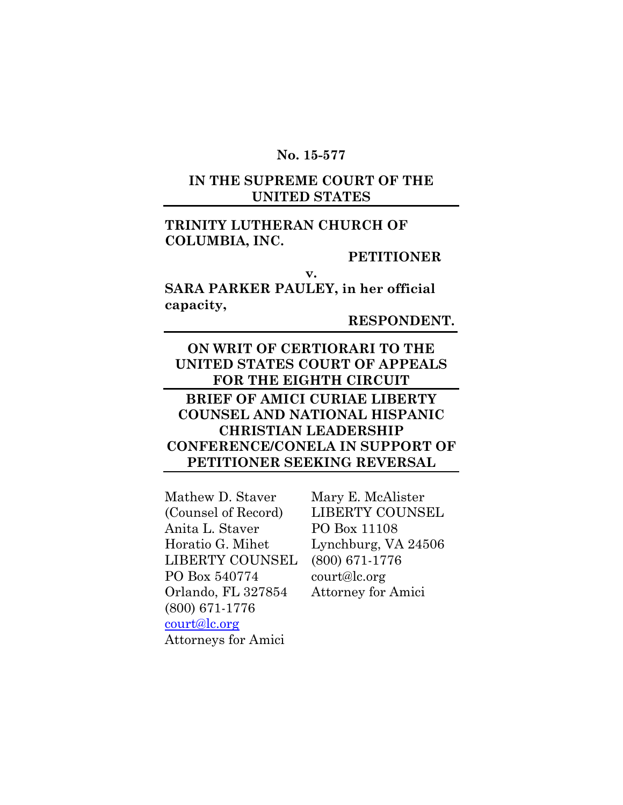#### **No. 15-577**

## **IN THE SUPREME COURT OF THE UNITED STATES**

## **TRINITY LUTHERAN CHURCH OF COLUMBIA, INC.**

#### **PETITIONER**

**SARA PARKER PAULEY, in her official capacity,**

**v.**

**RESPONDENT.**

## **ON WRIT OF CERTIORARI TO THE UNITED STATES COURT OF APPEALS FOR THE EIGHTH CIRCUIT**

## **BRIEF OF AMICI CURIAE LIBERTY COUNSEL AND NATIONAL HISPANIC CHRISTIAN LEADERSHIP CONFERENCE/CONELA IN SUPPORT OF PETITIONER SEEKING REVERSAL**

Mathew D. Staver (Counsel of Record) Anita L. Staver Horatio G. Mihet LIBERTY COUNSEL PO Box 540774 Orlando, FL 327854 (800) 671-1776 [court@lc.org](mailto:court@lc.org) Attorneys for Amici

Mary E. McAlister LIBERTY COUNSEL PO Box 11108 Lynchburg, VA 24506 (800) 671-1776 court@lc.org Attorney for Amici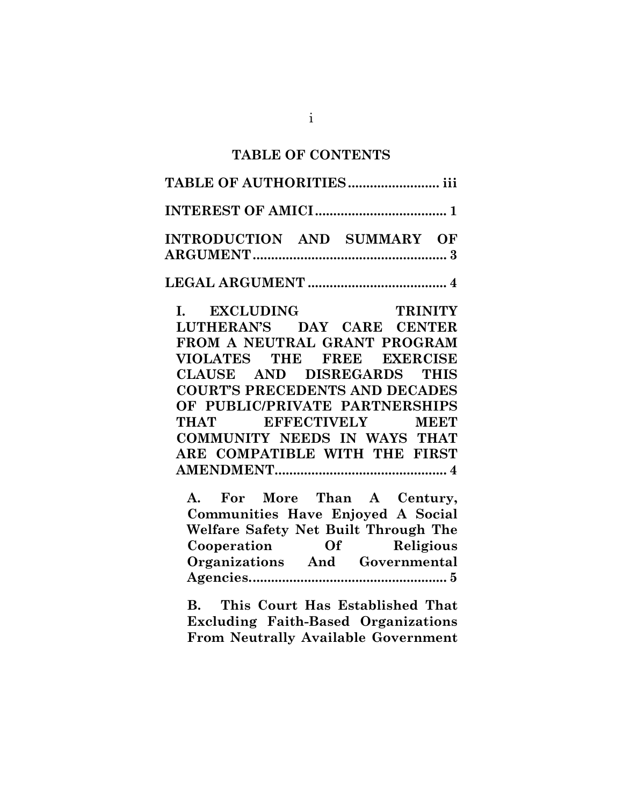#### **TABLE OF CONTENTS**

# **TABLE OF AUTHORITIES......................... iii INTEREST OF AMICI.................................... 1 INTRODUCTION AND SUMMARY OF ARGUMENT..................................................... 3 LEGAL ARGUMENT ...................................... 4 I. EXCLUDING TRINITY LUTHERAN'S DAY CARE CENTER FROM A NEUTRAL GRANT PROGRAM VIOLATES THE FREE EXERCISE CLAUSE AND DISREGARDS THIS COURT'S PRECEDENTS AND DECADES OF PUBLIC/PRIVATE PARTNERSHIPS THAT EFFECTIVELY MEET COMMUNITY NEEDS IN WAYS THAT ARE COMPATIBLE WITH THE FIRST AMENDMENT............................................... 4 A. For More Than A Century, Communities Have Enjoyed A Social Welfare Safety Net Built Through The Cooperation Of Religious Organizations And Governmental Agencies...................................................... 5**

**B. This Court Has Established That Excluding Faith-Based Organizations From Neutrally Available Government**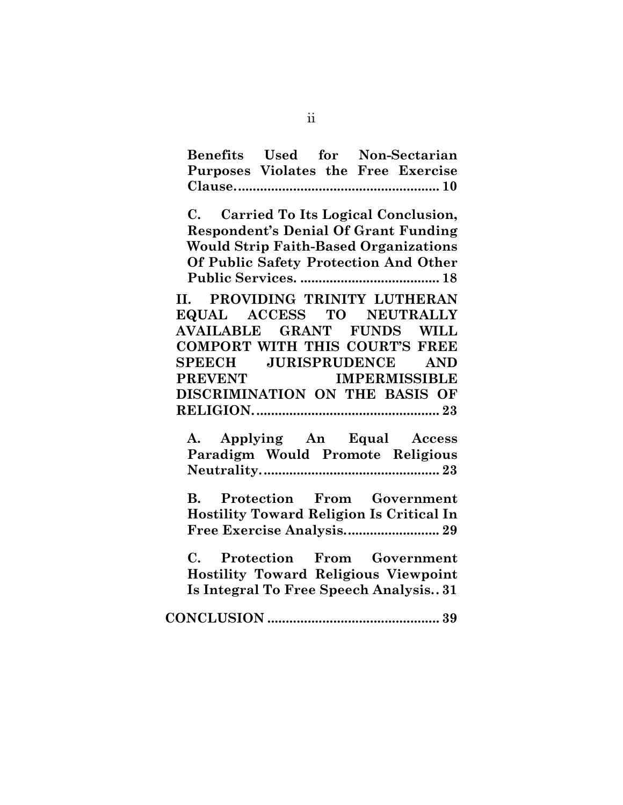**Benefits Used for Non-Sectarian Purposes Violates the Free Exercise Clause........................................................ 10**

**C. Carried To Its Logical Conclusion, Respondent's Denial Of Grant Funding Would Strip Faith-Based Organizations Of Public Safety Protection And Other Public Services. ...................................... 18**

**II. PROVIDING TRINITY LUTHERAN EQUAL ACCESS TO NEUTRALLY AVAILABLE GRANT FUNDS WILL COMPORT WITH THIS COURT'S FREE SPEECH JURISPRUDENCE AND PREVENT IMPERMISSIBLE DISCRIMINATION ON THE BASIS OF RELIGION................................................... 23**

**A. Applying An Equal Access Paradigm Would Promote Religious Neutrality................................................. 23**

**B. Protection From Government Hostility Toward Religion Is Critical In Free Exercise Analysis.......................... 29**

**C. Protection From Government Hostility Toward Religious Viewpoint Is Integral To Free Speech Analysis.. 31**

**CONCLUSION ............................................... 39**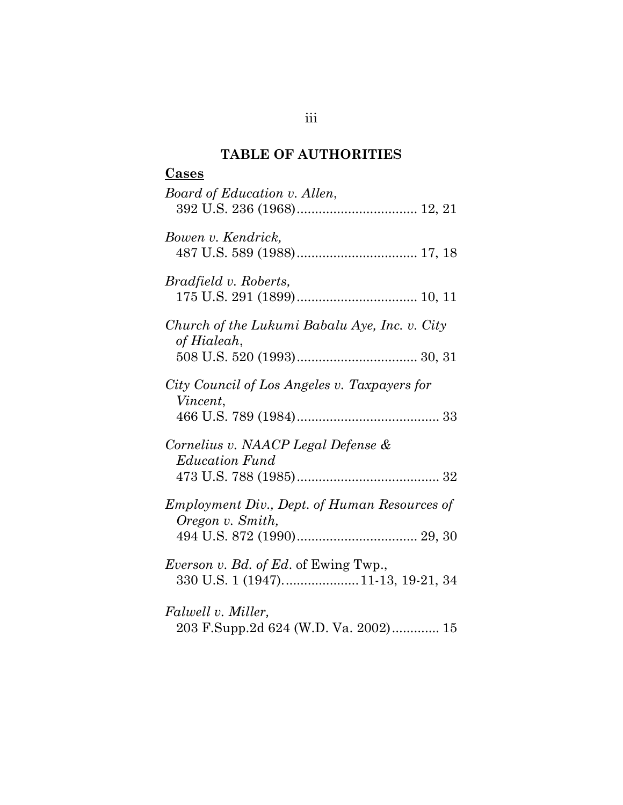#### **TABLE OF AUTHORITIES**

# **Cases** *Board of Education v. Allen*, 392 U.S. 236 (1968)................................. 12, 21 *Bowen v. Kendrick,*  487 U.S. 589 (1988)................................. 17, 18 *Bradfield v. Roberts,*  175 U.S. 291 (1899)................................. 10, 11 *Church of the Lukumi Babalu Aye, Inc. v. City of Hialeah*, 508 U.S. 520 (1993)................................. 30, 31 *City Council of Los Angeles v. Taxpayers for Vincent*, 466 U.S. 789 (1984)....................................... 33 *Cornelius v. NAACP Legal Defense & Education Fund* 473 U.S. 788 (1985)....................................... 32 *Employment Div., Dept. of Human Resources of Oregon v. Smith,*  494 U.S. 872 (1990)................................. 29, 30 *Everson v. Bd. of Ed*. of Ewing Twp., 330 U.S. 1 (1947).....................11-13, 19-21, 34 *Falwell v. Miller,*  203 F.Supp.2d 624 (W.D. Va. 2002)............. 15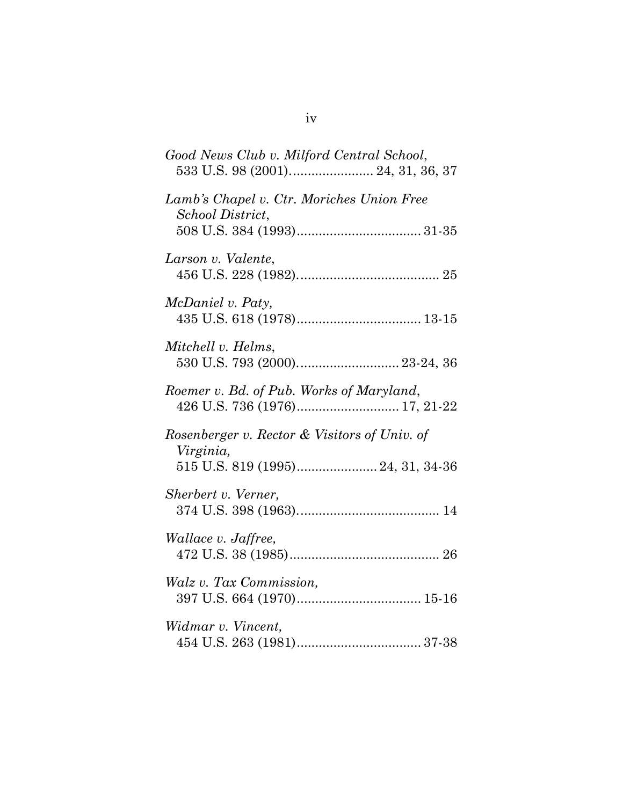| Good News Club v. Milford Central School,                                                      |
|------------------------------------------------------------------------------------------------|
| Lamb's Chapel v. Ctr. Moriches Union Free<br>School District,                                  |
| Larson v. Valente,                                                                             |
| McDaniel v. Paty,                                                                              |
| Mitchell v. Helms,                                                                             |
| Roemer v. Bd. of Pub. Works of Maryland,                                                       |
| Rosenberger v. Rector & Visitors of Univ. of<br>Virginia,<br>515 U.S. 819 (1995) 24, 31, 34-36 |
| Sherbert v. Verner,                                                                            |
| <i>Wallace v. Jaffree,</i>                                                                     |
| Walz v. Tax Commission,                                                                        |
| Widmar v. Vincent,                                                                             |

iv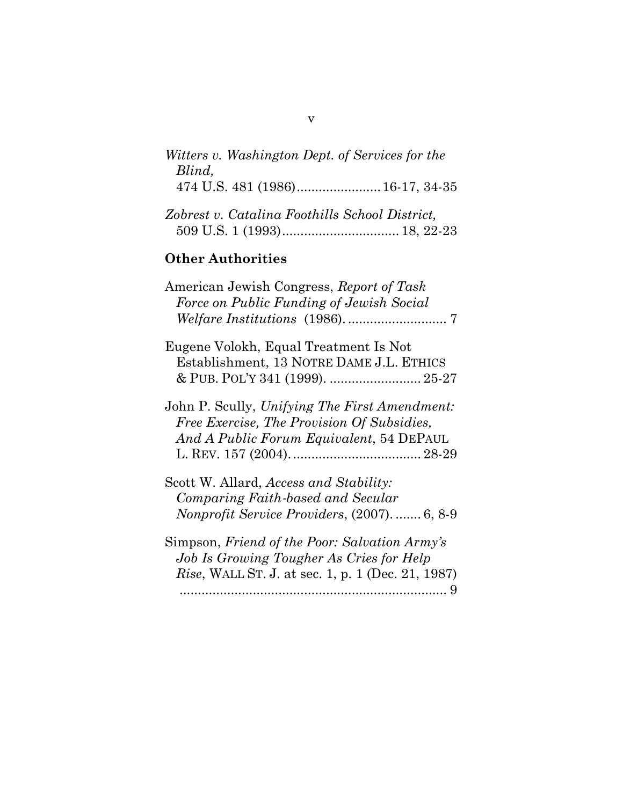| Witters v. Washington Dept. of Services for the |
|-------------------------------------------------|
| Blind,<br>474 U.S. 481 (1986) 16-17, 34-35      |
| Zobrest v. Catalina Foothills School District,  |
| <b>Other Authorities</b>                        |
|                                                 |

| American Jewish Congress, Report of Task            |
|-----------------------------------------------------|
| Force on Public Funding of Jewish Social            |
|                                                     |
| Eugene Volokh, Equal Treatment Is Not               |
| Establishment, 13 NOTRE DAME J.L. ETHICS            |
| & PUB. POL'Y 341 (1999).  25-27                     |
| John P. Scully, Unifying The First Amendment:       |
| Free Exercise, The Provision Of Subsidies,          |
| And A Public Forum Equivalent, 54 DEPAUL            |
|                                                     |
| Scott W. Allard, Access and Stability:              |
| Comparing Faith-based and Secular                   |
| <i>Nonprofit Service Providers, (2007).  6, 8-9</i> |
| Simpson, Friend of the Poor: Salvation Army's       |

*Job Is Growing Tougher As Cries for Help Rise*, WALL ST. J. at sec. 1, p. 1 (Dec. 21, 1987) ......................................................................... 9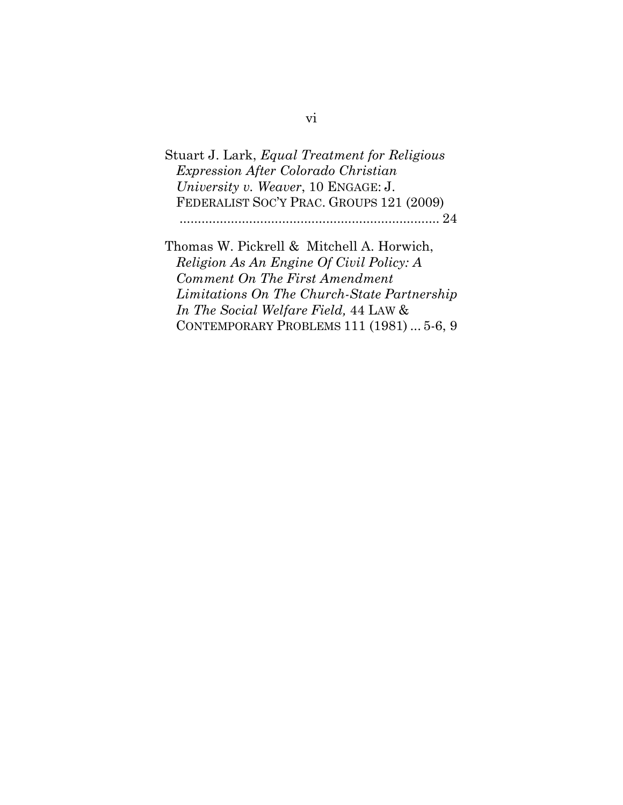Stuart J. Lark, *Equal Treatment for Religious Expression After Colorado Christian University v. Weaver*, 10 ENGAGE: J. FEDERALIST SOC'Y PRAC. GROUPS 121 (2009)

....................................................................... 24

Thomas W. Pickrell & Mitchell A. Horwich, *Religion As An Engine Of Civil Policy: A Comment On The First Amendment Limitations On The Church-State Partnership In The Social Welfare Field,* 44 LAW & CONTEMPORARY PROBLEMS 111 (1981) ... 5-6, 9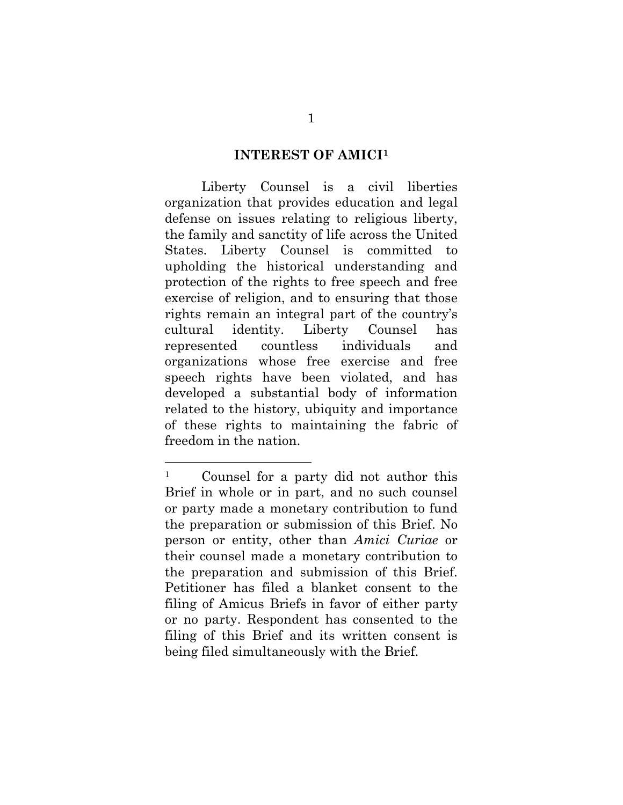#### **INTEREST OF AMICI[1](#page-7-0)**

Liberty Counsel is a civil liberties organization that provides education and legal defense on issues relating to religious liberty, the family and sanctity of life across the United States. Liberty Counsel is committed to upholding the historical understanding and protection of the rights to free speech and free exercise of religion, and to ensuring that those rights remain an integral part of the country's cultural identity. Liberty Counsel has represented countless individuals and organizations whose free exercise and free speech rights have been violated, and has developed a substantial body of information related to the history, ubiquity and importance of these rights to maintaining the fabric of freedom in the nation.

<span id="page-7-0"></span><sup>1</sup> Counsel for a party did not author this Brief in whole or in part, and no such counsel or party made a monetary contribution to fund the preparation or submission of this Brief. No person or entity, other than *Amici Curiae* or their counsel made a monetary contribution to the preparation and submission of this Brief. Petitioner has filed a blanket consent to the filing of Amicus Briefs in favor of either party or no party. Respondent has consented to the filing of this Brief and its written consent is being filed simultaneously with the Brief.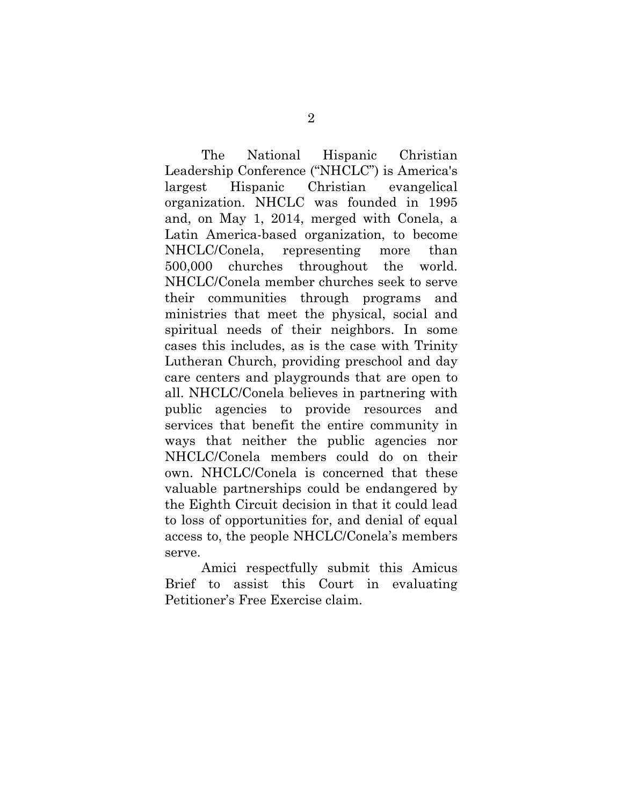The National Hispanic Christian Leadership Conference ("NHCLC") is America's largest Hispanic Christian evangelical organization. NHCLC was founded in 1995 and, on May 1, 2014, merged with Conela, a Latin America-based organization, to become NHCLC/Conela, representing more than 500,000 churches throughout the world. NHCLC/Conela member churches seek to serve their communities through programs and ministries that meet the physical, social and spiritual needs of their neighbors. In some cases this includes, as is the case with Trinity Lutheran Church, providing preschool and day care centers and playgrounds that are open to all. NHCLC/Conela believes in partnering with public agencies to provide resources and services that benefit the entire community in ways that neither the public agencies nor NHCLC/Conela members could do on their own. NHCLC/Conela is concerned that these valuable partnerships could be endangered by the Eighth Circuit decision in that it could lead to loss of opportunities for, and denial of equal access to, the people NHCLC/Conela's members serve.

Amici respectfully submit this Amicus Brief to assist this Court in evaluating Petitioner's Free Exercise claim.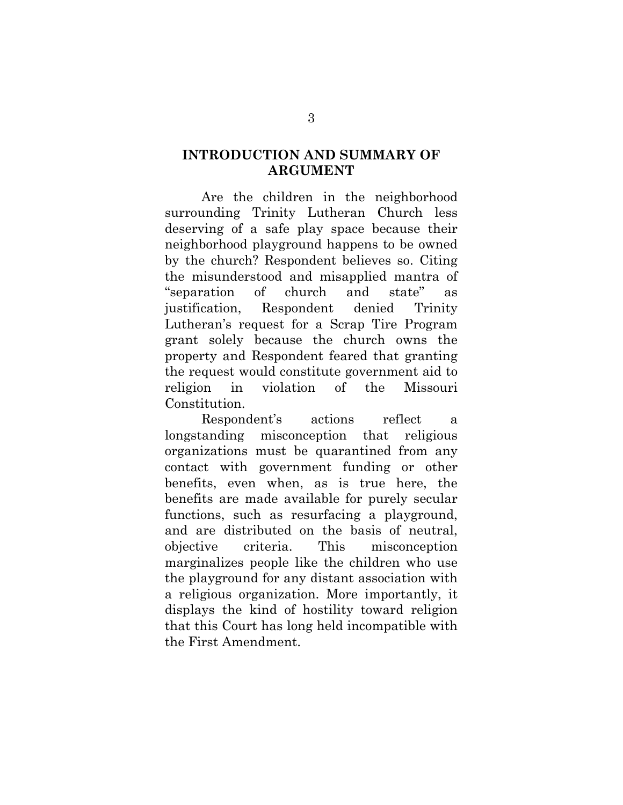## **INTRODUCTION AND SUMMARY OF ARGUMENT**

Are the children in the neighborhood surrounding Trinity Lutheran Church less deserving of a safe play space because their neighborhood playground happens to be owned by the church? Respondent believes so. Citing the misunderstood and misapplied mantra of "separation of church and state" as justification, Respondent denied Trinity Lutheran's request for a Scrap Tire Program grant solely because the church owns the property and Respondent feared that granting the request would constitute government aid to religion in violation of the Missouri Constitution.

Respondent's actions reflect a longstanding misconception that religious organizations must be quarantined from any contact with government funding or other benefits, even when, as is true here, the benefits are made available for purely secular functions, such as resurfacing a playground, and are distributed on the basis of neutral, objective criteria. This misconception marginalizes people like the children who use the playground for any distant association with a religious organization. More importantly, it displays the kind of hostility toward religion that this Court has long held incompatible with the First Amendment.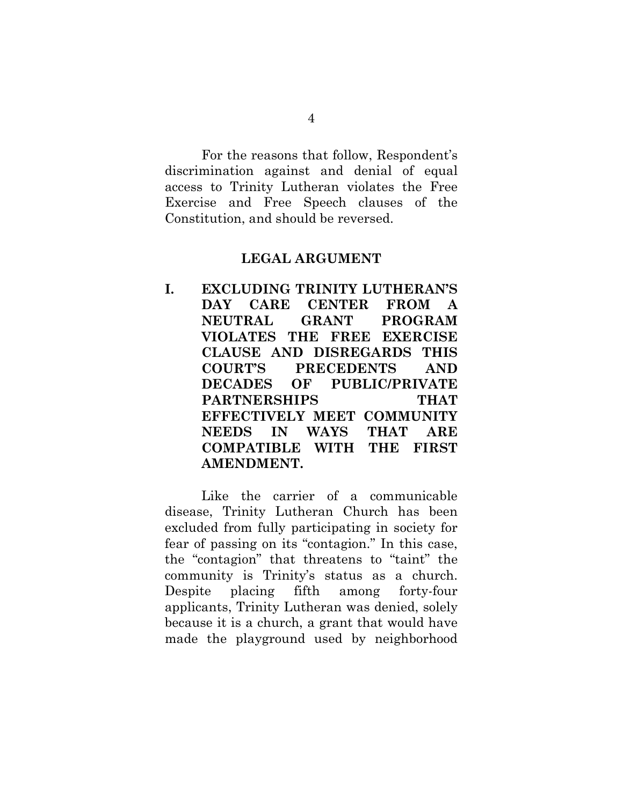For the reasons that follow, Respondent's discrimination against and denial of equal access to Trinity Lutheran violates the Free Exercise and Free Speech clauses of the Constitution, and should be reversed.

#### **LEGAL ARGUMENT**

**I. EXCLUDING TRINITY LUTHERAN'S DAY CARE CENTER FROM A NEUTRAL GRANT PROGRAM VIOLATES THE FREE EXERCISE CLAUSE AND DISREGARDS THIS COURT'S PRECEDENTS AND DECADES OF PUBLIC/PRIVATE PARTNERSHIPS THAT EFFECTIVELY MEET COMMUNITY NEEDS IN WAYS THAT ARE COMPATIBLE WITH THE FIRST AMENDMENT.** 

Like the carrier of a communicable disease, Trinity Lutheran Church has been excluded from fully participating in society for fear of passing on its "contagion." In this case, the "contagion" that threatens to "taint" the community is Trinity's status as a church. Despite placing fifth among forty-four applicants, Trinity Lutheran was denied, solely because it is a church, a grant that would have made the playground used by neighborhood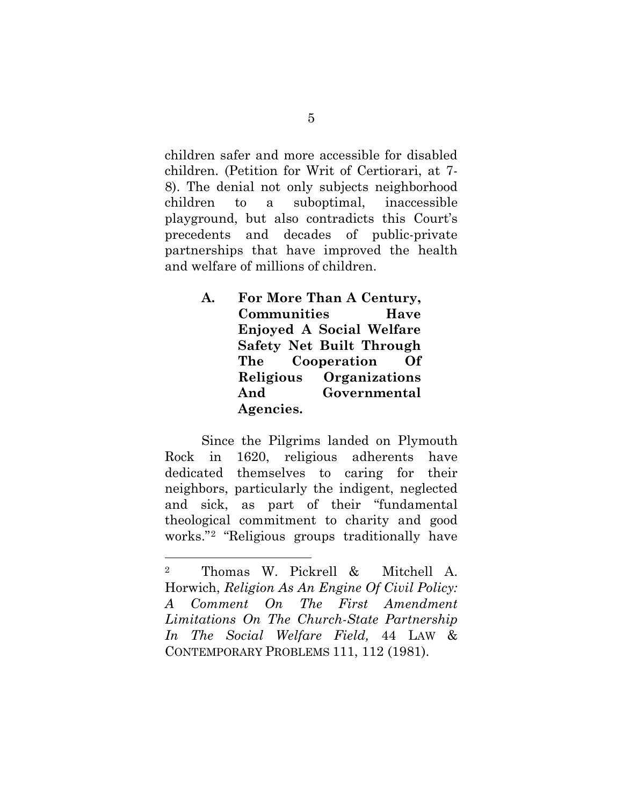children safer and more accessible for disabled children. (Petition for Writ of Certiorari, at 7- 8). The denial not only subjects neighborhood children to a suboptimal, inaccessible playground, but also contradicts this Court's precedents and decades of public-private partnerships that have improved the health and welfare of millions of children.

> **A. For More Than A Century, Communities Have Enjoyed A Social Welfare Safety Net Built Through The Cooperation Of Religious Organizations And Governmental Agencies.**

Since the Pilgrims landed on Plymouth Rock in 1620, religious adherents have dedicated themselves to caring for their neighbors, particularly the indigent, neglected and sick, as part of their "fundamental theological commitment to charity and good works."[2](#page-11-0) "Religious groups traditionally have

<span id="page-11-0"></span><sup>2</sup> Thomas W. Pickrell & Mitchell A. Horwich, *Religion As An Engine Of Civil Policy: A Comment On The First Amendment Limitations On The Church-State Partnership In The Social Welfare Field,* 44 LAW & CONTEMPORARY PROBLEMS 111, 112 (1981).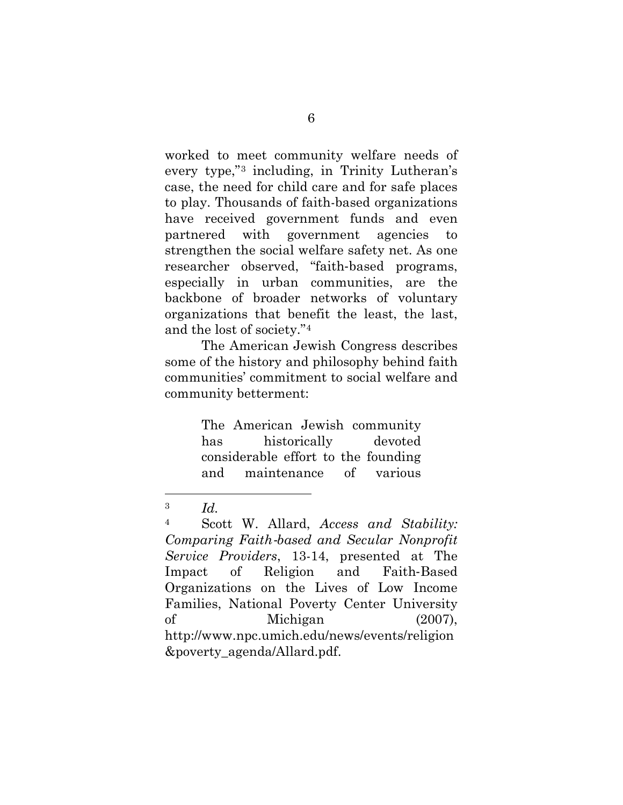worked to meet community welfare needs of every type,"[3](#page-12-0) including, in Trinity Lutheran's case, the need for child care and for safe places to play. Thousands of faith-based organizations have received government funds and even partnered with government agencies to strengthen the social welfare safety net. As one researcher observed, "faith‐based programs, especially in urban communities, are the backbone of broader networks of voluntary organizations that benefit the least, the last, and the lost of society."[4](#page-12-1)

The American Jewish Congress describes some of the history and philosophy behind faith communities' commitment to social welfare and community betterment:

> The American Jewish community has historically devoted considerable effort to the founding and maintenance of various

<span id="page-12-0"></span><sup>3</sup> *Id.*

<span id="page-12-1"></span><sup>4</sup> Scott W. Allard, *Access and Stability: Comparing Faith*‐*based and Secular Nonprofit Service Providers*, 13-14, presented at The Impact of Religion and Faith‐Based Organizations on the Lives of Low Income Families, National Poverty Center University of Michigan (2007), http://www.npc.umich.edu/news/events/religion &poverty\_agenda/Allard.pdf.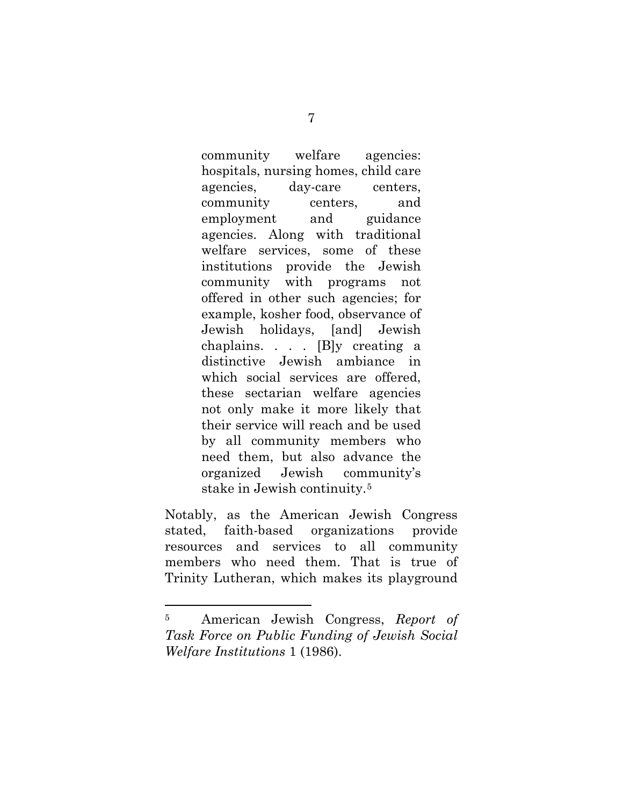community welfare agencies: hospitals, nursing homes, child care agencies, day-care centers, community centers, and employment and guidance agencies. Along with traditional welfare services, some of these institutions provide the Jewish community with programs not offered in other such agencies; for example, kosher food, observance of Jewish holidays, [and] Jewish chaplains. . . . [B]y creating a distinctive Jewish ambiance in which social services are offered, these sectarian welfare agencies not only make it more likely that their service will reach and be used by all community members who need them, but also advance the organized Jewish community's stake in Jewish continuity.[5](#page-13-0)

Notably, as the American Jewish Congress stated, faith-based organizations provide resources and services to all community members who need them. That is true of Trinity Lutheran, which makes its playground

<span id="page-13-0"></span><sup>5</sup> American Jewish Congress, *Report of Task Force on Public Funding of Jewish Social Welfare Institutions* 1 (1986).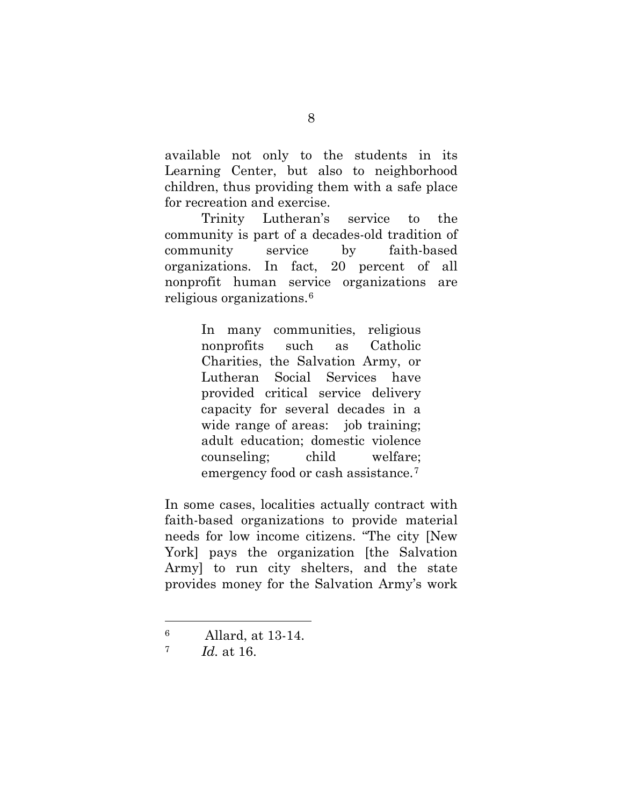available not only to the students in its Learning Center, but also to neighborhood children, thus providing them with a safe place for recreation and exercise.

Trinity Lutheran's service to the community is part of a decades-old tradition of community service by faith-based organizations. In fact, 20 percent of all nonprofit human service organizations are religious organizations.[6](#page-14-0)

> In many communities, religious nonprofits such as Catholic Charities, the Salvation Army, or Lutheran Social Services have provided critical service delivery capacity for several decades in a wide range of areas: job training; adult education; domestic violence counseling; child welfare; emergency food or cash assistance.[7](#page-14-1)

In some cases, localities actually contract with faith-based organizations to provide material needs for low income citizens. "The city [New York] pays the organization [the Salvation Army] to run city shelters, and the state provides money for the Salvation Army's work

<span id="page-14-0"></span><sup>6</sup> Allard, at 13-14.

<span id="page-14-1"></span><sup>7</sup> *Id.* at 16.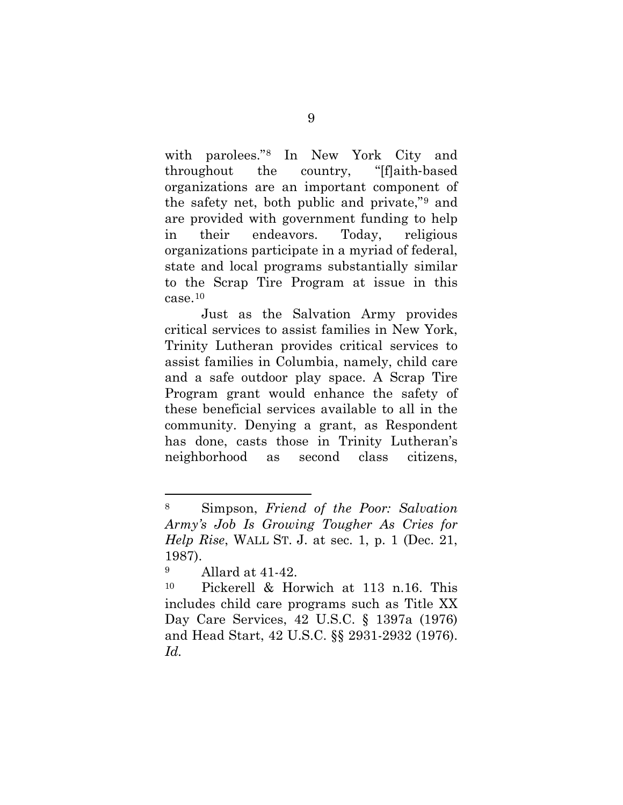with parolees."[8](#page-15-0) In New York City and throughout the country, "[f]aith‐based organizations are an important component of the safety net, both public and private,"[9](#page-15-1) and are provided with government funding to help in their endeavors. Today, religious organizations participate in a myriad of federal, state and local programs substantially similar to the Scrap Tire Program at issue in this  $case<sup>10</sup>$  $case<sup>10</sup>$  $case<sup>10</sup>$ 

Just as the Salvation Army provides critical services to assist families in New York, Trinity Lutheran provides critical services to assist families in Columbia, namely, child care and a safe outdoor play space. A Scrap Tire Program grant would enhance the safety of these beneficial services available to all in the community. Denying a grant, as Respondent has done, casts those in Trinity Lutheran's neighborhood as second class citizens,

l

<span id="page-15-0"></span><sup>8</sup> Simpson, *Friend of the Poor: Salvation Army's Job Is Growing Tougher As Cries for Help Rise*, WALL ST. J. at sec. 1, p. 1 (Dec. 21, 1987).

<span id="page-15-1"></span><sup>9</sup> Allard at 41-42.

<span id="page-15-2"></span><sup>10</sup> Pickerell & Horwich at 113 n.16. This includes child care programs such as Title XX Day Care Services, 42 U.S.C. § 1397a (1976) and Head Start, 42 U.S.C. §§ 2931-2932 (1976). *Id.*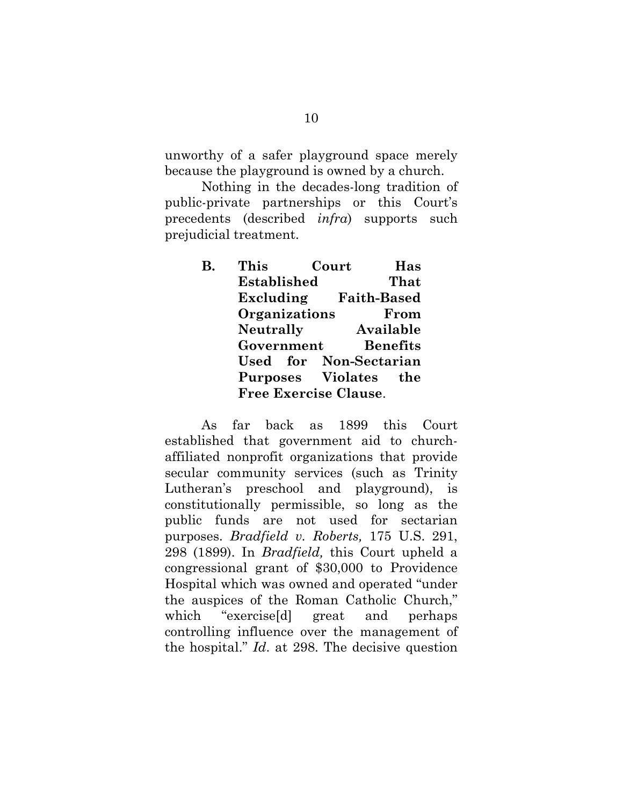unworthy of a safer playground space merely because the playground is owned by a church.

Nothing in the decades-long tradition of public-private partnerships or this Court's precedents (described *infra*) supports such prejudicial treatment.

> **B. This Court Has Established That Excluding Faith-Based Organizations From Neutrally Available Government Benefits Used for Non-Sectarian Purposes Violates the Free Exercise Clause**.

As far back as 1899 this Court established that government aid to churchaffiliated nonprofit organizations that provide secular community services (such as Trinity Lutheran's preschool and playground), is constitutionally permissible, so long as the public funds are not used for sectarian purposes. *Bradfield v. Roberts,* 175 U.S. 291, 298 (1899). In *Bradfield,* this Court upheld a congressional grant of \$30,000 to Providence Hospital which was owned and operated "under the auspices of the Roman Catholic Church," which "exercise<sup>[d]</sup> great and perhaps controlling influence over the management of the hospital." *Id*. at 298. The decisive question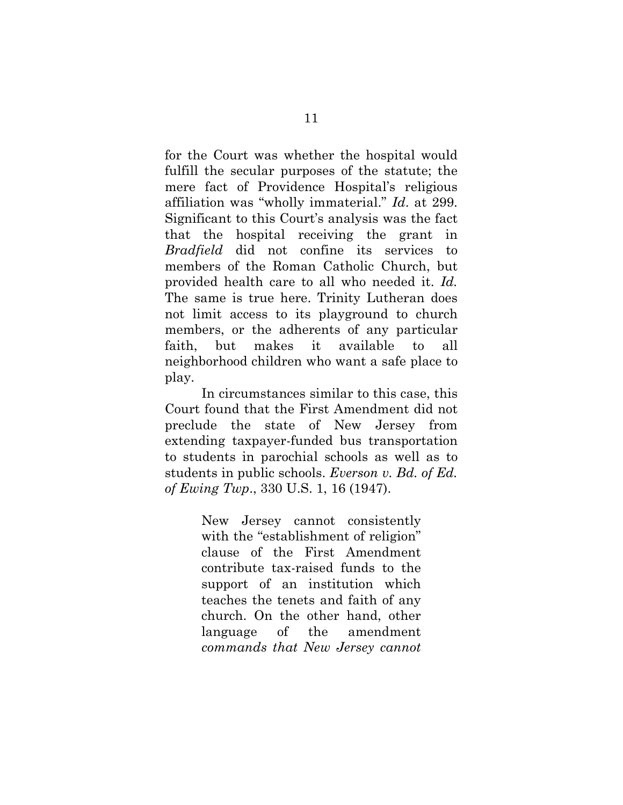for the Court was whether the hospital would fulfill the secular purposes of the statute; the mere fact of Providence Hospital's religious affiliation was "wholly immaterial." *Id*. at 299. Significant to this Court's analysis was the fact that the hospital receiving the grant in *Bradfield* did not confine its services to members of the Roman Catholic Church, but provided health care to all who needed it. *Id.* The same is true here. Trinity Lutheran does not limit access to its playground to church members, or the adherents of any particular faith, but makes it available to all neighborhood children who want a safe place to play.

In circumstances similar to this case, this Court found that the First Amendment did not preclude the state of New Jersey from extending taxpayer-funded bus transportation to students in parochial schools as well as to students in public schools. *Everson v. Bd. of Ed. of Ewing Twp*., 330 U.S. 1, 16 (1947).

> New Jersey cannot consistently with the "establishment of religion" clause of the First Amendment contribute tax-raised funds to the support of an institution which teaches the tenets and faith of any church. On the other hand, other language of the amendment *commands that New Jersey cannot*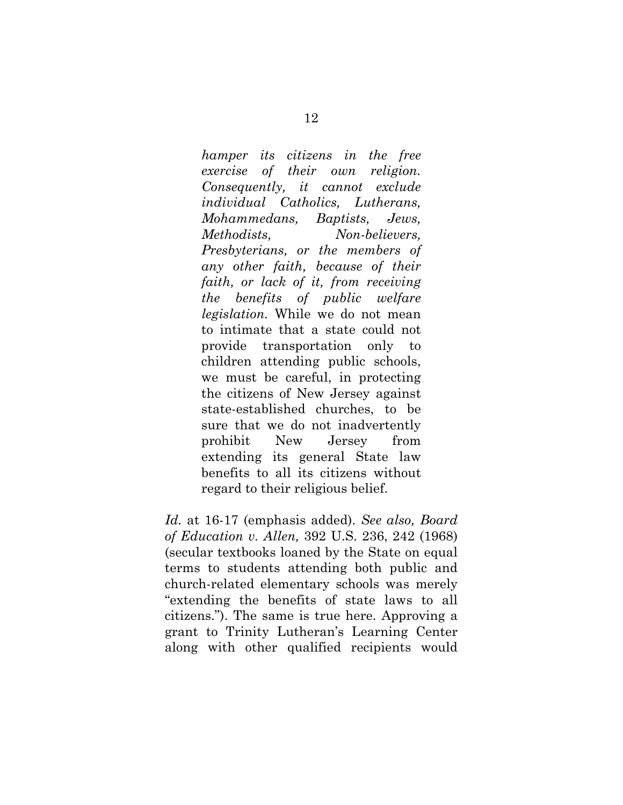*hamper its citizens in the free exercise of their own religion. Consequently, it cannot exclude individual Catholics, Lutherans, Mohammedans, Baptists, Jews, Methodists, Non-believers, Presbyterians, or the members of any other faith, because of their faith, or lack of it, from receiving the benefits of public welfare legislation.* While we do not mean to intimate that a state could not provide transportation only to children attending public schools, we must be careful, in protecting the citizens of New Jersey against state-established churches, to be sure that we do not inadvertently prohibit New Jersey from extending its general State law benefits to all its citizens without regard to their religious belief.

*Id.* at 16-17 (emphasis added). *See also, Board of Education v. Allen,* 392 U.S. 236, 242 (1968) (secular textbooks loaned by the State on equal terms to students attending both public and church-related elementary schools was merely "extending the benefits of state laws to all citizens."). The same is true here. Approving a grant to Trinity Lutheran's Learning Center along with other qualified recipients would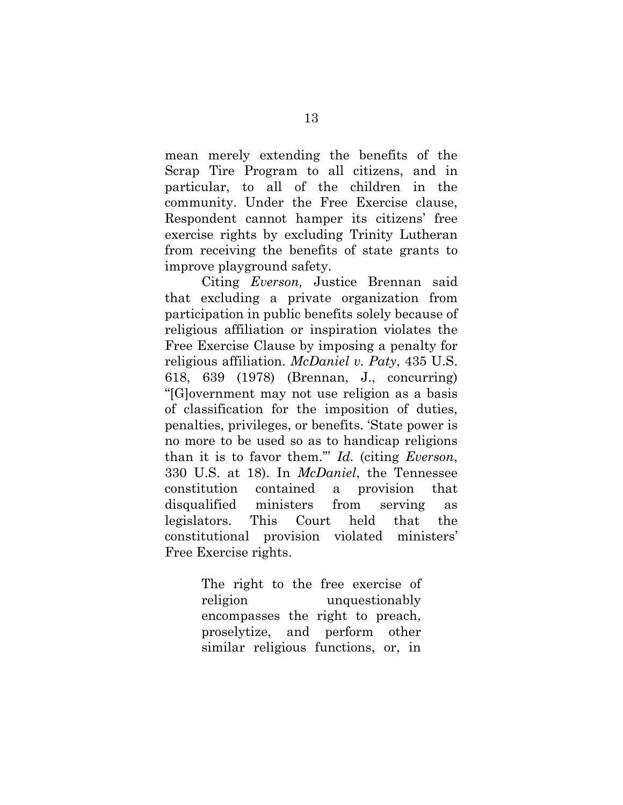mean merely extending the benefits of the Scrap Tire Program to all citizens, and in particular, to all of the children in the community. Under the Free Exercise clause, Respondent cannot hamper its citizens' free exercise rights by excluding Trinity Lutheran from receiving the benefits of state grants to improve playground safety.

Citing *Everson,* Justice Brennan said that excluding a private organization from participation in public benefits solely because of religious affiliation or inspiration violates the Free Exercise Clause by imposing a penalty for religious affiliation. *McDaniel v. Paty*, 435 U.S. 618, 639 (1978) (Brennan, J., concurring) "[G]overnment may not use religion as a basis of classification for the imposition of duties, penalties, privileges, or benefits. 'State power is no more to be used so as to handicap religions than it is to favor them.'" *Id.* (citing *Everson*, 330 U.S. at 18). In *McDaniel*, the Tennessee constitution contained a provision that disqualified ministers from serving as legislators. This Court held that the constitutional provision violated ministers' Free Exercise rights.

> The right to the free exercise of religion unquestionably encompasses the right to preach, proselytize, and perform other similar religious functions, or, in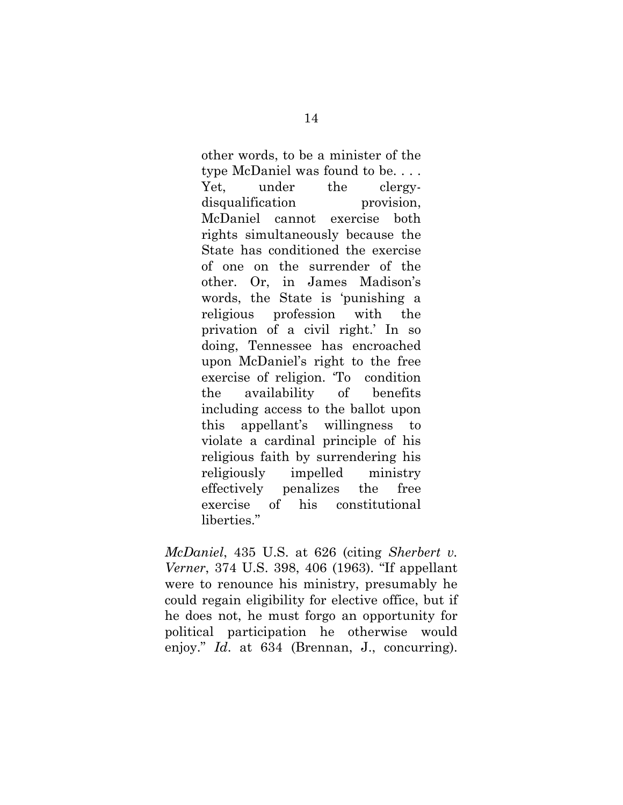other words, to be a minister of the type McDaniel was found to be. . . . Yet, under the clergydisqualification provision, McDaniel cannot exercise both rights simultaneously because the State has conditioned the exercise of one on the surrender of the other. Or, in James Madison's words, the State is 'punishing a religious profession with the privation of a civil right.' In so doing, Tennessee has encroached upon McDaniel's right to the free exercise of religion. 'To condition the availability of benefits including access to the ballot upon this appellant's willingness to violate a cardinal principle of his religious faith by surrendering his religiously impelled ministry effectively penalizes the free exercise of his constitutional liberties."

*McDaniel*, 435 U.S. at 626 (citing *Sherbert v. Verner*, 374 U.S. 398, 406 (1963). "If appellant were to renounce his ministry, presumably he could regain eligibility for elective office, but if he does not, he must forgo an opportunity for political participation he otherwise would enjoy." *Id*. at 634 (Brennan, J., concurring).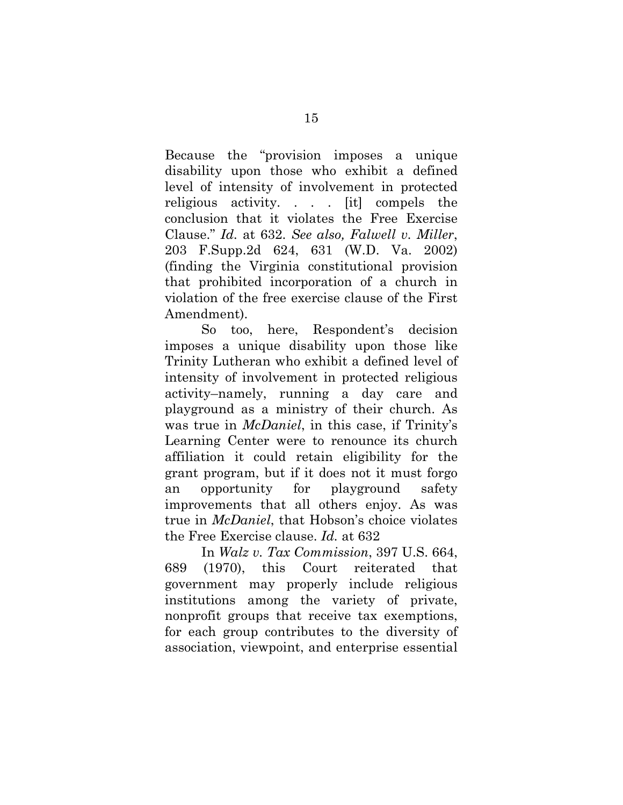Because the "provision imposes a unique disability upon those who exhibit a defined level of intensity of involvement in protected religious activity. . . . [it] compels the conclusion that it violates the Free Exercise Clause." *Id.* at 632. *See also, Falwell v. Miller*, 203 F.Supp.2d 624, 631 (W.D. Va. 2002) (finding the Virginia constitutional provision that prohibited incorporation of a church in violation of the free exercise clause of the First Amendment).

So too, here, Respondent's decision imposes a unique disability upon those like Trinity Lutheran who exhibit a defined level of intensity of involvement in protected religious activity–namely, running a day care and playground as a ministry of their church. As was true in *McDaniel*, in this case, if Trinity's Learning Center were to renounce its church affiliation it could retain eligibility for the grant program, but if it does not it must forgo an opportunity for playground safety improvements that all others enjoy. As was true in *McDaniel*, that Hobson's choice violates the Free Exercise clause. *Id.* at 632

In *Walz v. Tax Commission*, 397 U.S. 664, 689 (1970), this Court reiterated that government may properly include religious institutions among the variety of private, nonprofit groups that receive tax exemptions, for each group contributes to the diversity of association, viewpoint, and enterprise essential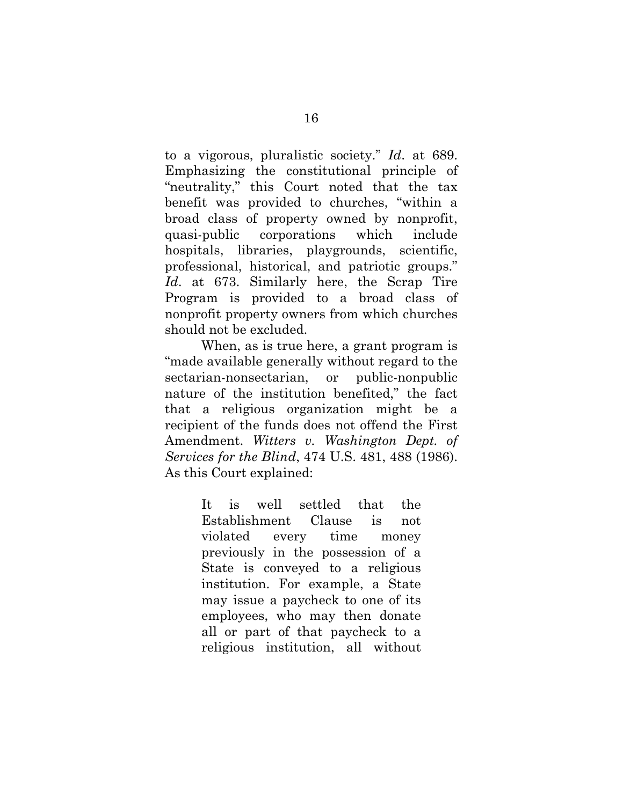to a vigorous, pluralistic society." *Id*. at 689. Emphasizing the constitutional principle of "neutrality," this Court noted that the tax benefit was provided to churches, "within a broad class of property owned by nonprofit, quasi-public corporations which include hospitals, libraries, playgrounds, scientific, professional, historical, and patriotic groups." *Id*. at 673. Similarly here, the Scrap Tire Program is provided to a broad class of nonprofit property owners from which churches should not be excluded.

When, as is true here, a grant program is "made available generally without regard to the sectarian-nonsectarian, or public-nonpublic nature of the institution benefited," the fact that a religious organization might be a recipient of the funds does not offend the First Amendment. *Witters v. Washington Dept. of Services for the Blind*, 474 U.S. 481, 488 (1986). As this Court explained:

> It is well settled that the Establishment Clause is not violated every time money previously in the possession of a State is conveyed to a religious institution. For example, a State may issue a paycheck to one of its employees, who may then donate all or part of that paycheck to a religious institution, all without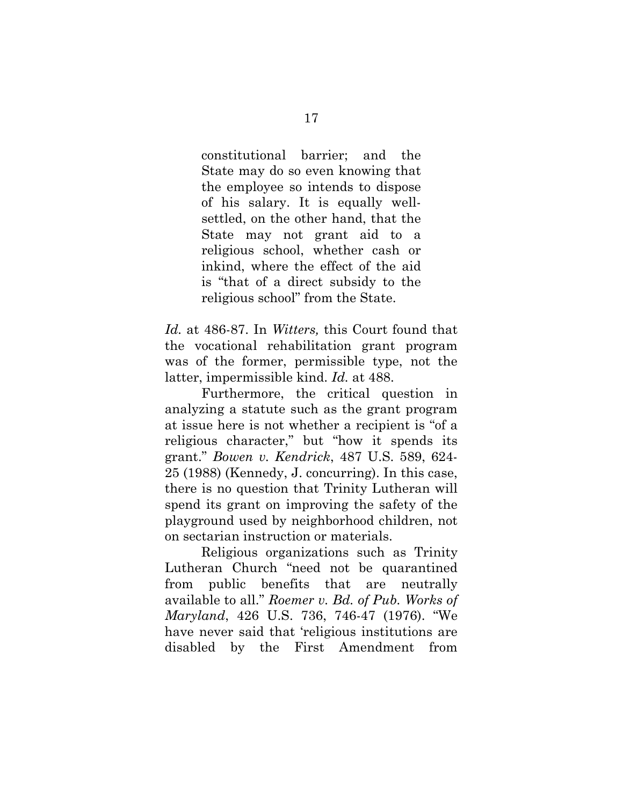constitutional barrier; and the State may do so even knowing that the employee so intends to dispose of his salary. It is equally wellsettled, on the other hand, that the State may not grant aid to a religious school, whether cash or inkind, where the effect of the aid is "that of a direct subsidy to the religious school" from the State.

*Id.* at 486-87. In *Witters,* this Court found that the vocational rehabilitation grant program was of the former, permissible type, not the latter, impermissible kind. *Id.* at 488.

Furthermore, the critical question in analyzing a statute such as the grant program at issue here is not whether a recipient is "of a religious character," but "how it spends its grant." *Bowen v. Kendrick*, 487 U.S. 589, 624- 25 (1988) (Kennedy, J. concurring). In this case, there is no question that Trinity Lutheran will spend its grant on improving the safety of the playground used by neighborhood children, not on sectarian instruction or materials.

Religious organizations such as Trinity Lutheran Church "need not be quarantined from public benefits that are neutrally available to all." *Roemer v. Bd. of Pub. Works of Maryland*, 426 U.S. 736, 746-47 (1976). "We have never said that 'religious institutions are disabled by the First Amendment from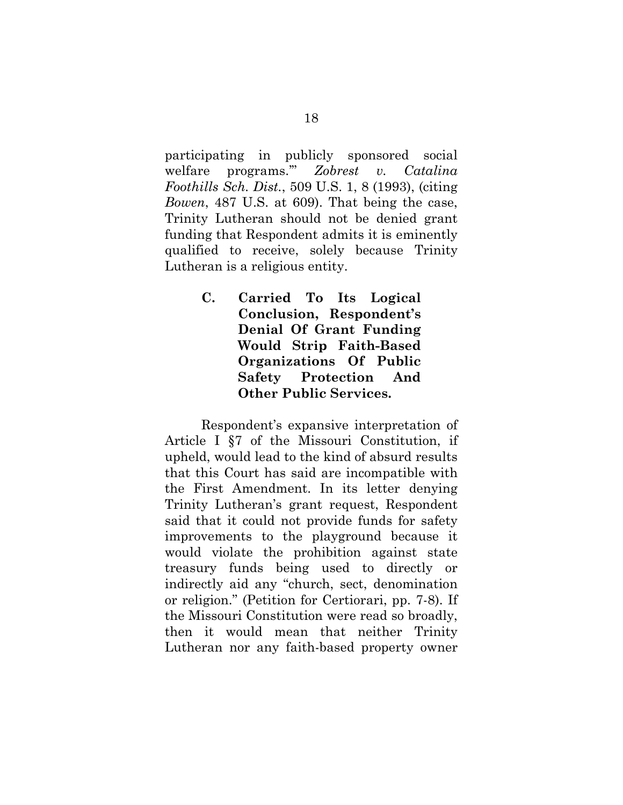participating in publicly sponsored social welfare programs.'" *Zobrest v. Catalina Foothills Sch. Dist.*, 509 U.S. 1, 8 (1993), (citing *Bowen*, 487 U.S. at 609). That being the case, Trinity Lutheran should not be denied grant funding that Respondent admits it is eminently qualified to receive, solely because Trinity Lutheran is a religious entity.

> **C. Carried To Its Logical Conclusion, Respondent's Denial Of Grant Funding Would Strip Faith-Based Organizations Of Public Safety Protection And Other Public Services.**

Respondent's expansive interpretation of Article I §7 of the Missouri Constitution, if upheld, would lead to the kind of absurd results that this Court has said are incompatible with the First Amendment. In its letter denying Trinity Lutheran's grant request, Respondent said that it could not provide funds for safety improvements to the playground because it would violate the prohibition against state treasury funds being used to directly or indirectly aid any "church, sect, denomination or religion." (Petition for Certiorari, pp. 7-8). If the Missouri Constitution were read so broadly, then it would mean that neither Trinity Lutheran nor any faith-based property owner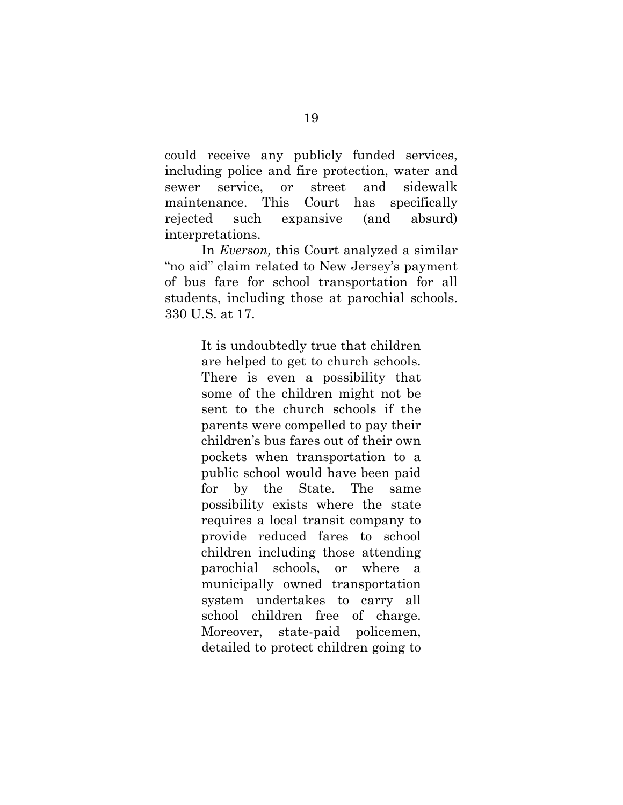could receive any publicly funded services, including police and fire protection, water and sewer service, or street and sidewalk maintenance. This Court has specifically rejected such expansive (and absurd) interpretations.

In *Everson,* this Court analyzed a similar "no aid" claim related to New Jersey's payment of bus fare for school transportation for all students, including those at parochial schools. 330 U.S. at 17.

> It is undoubtedly true that children are helped to get to church schools. There is even a possibility that some of the children might not be sent to the church schools if the parents were compelled to pay their children's bus fares out of their own pockets when transportation to a public school would have been paid for by the State. The same possibility exists where the state requires a local transit company to provide reduced fares to school children including those attending parochial schools, or where a municipally owned transportation system undertakes to carry all school children free of charge. Moreover, state-paid policemen, detailed to protect children going to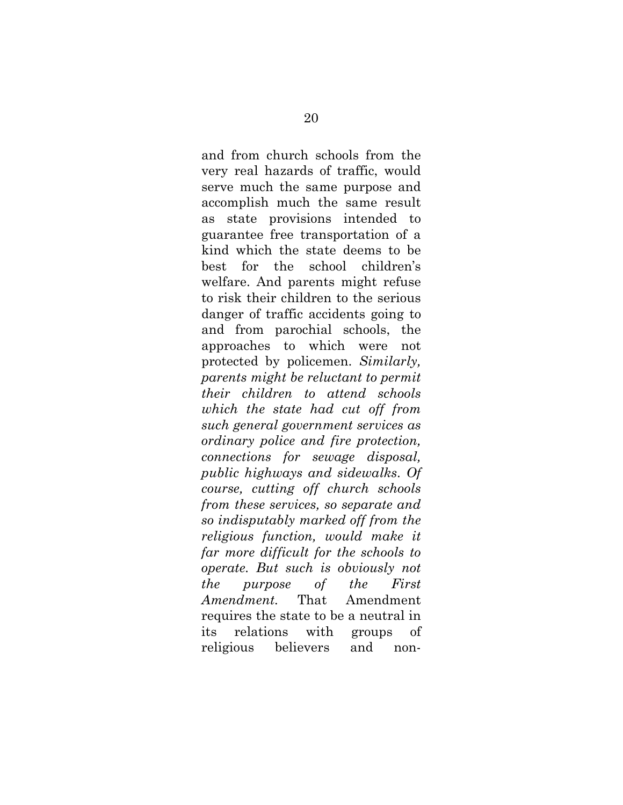and from church schools from the very real hazards of traffic, would serve much the same purpose and accomplish much the same result as state provisions intended to guarantee free transportation of a kind which the state deems to be best for the school children's welfare. And parents might refuse to risk their children to the serious danger of traffic accidents going to and from parochial schools, the approaches to which were not protected by policemen. *Similarly, parents might be reluctant to permit their children to attend schools which the state had cut off from such general government services as ordinary police and fire protection, connections for sewage disposal, public highways and sidewalks*. *Of course, cutting off church schools from these services, so separate and so indisputably marked off from the religious function, would make it far more difficult for the schools to operate. But such is obviously not the purpose of the First Amendment.* That Amendment requires the state to be a neutral in its relations with groups of religious believers and non-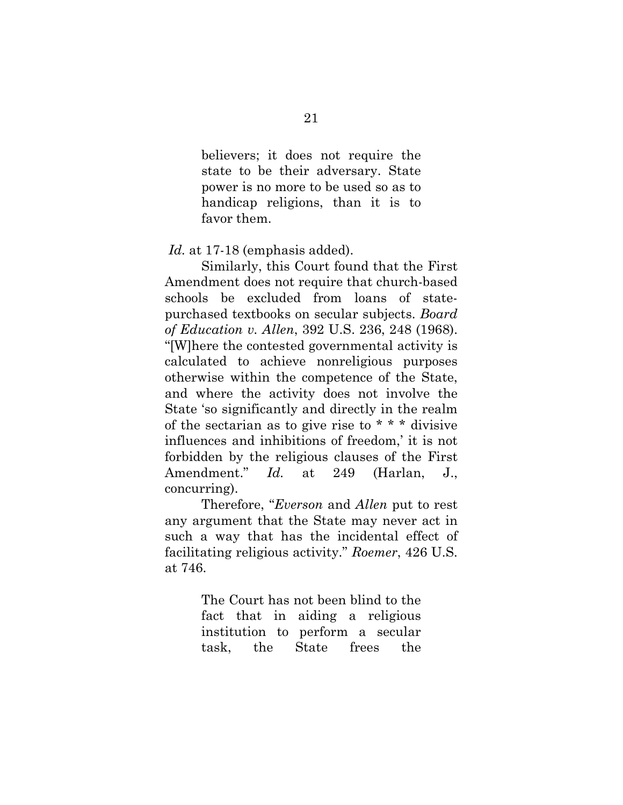believers; it does not require the state to be their adversary. State power is no more to be used so as to handicap religions, than it is to favor them.

*Id.* at 17-18 (emphasis added).

Similarly, this Court found that the First Amendment does not require that church-based schools be excluded from loans of statepurchased textbooks on secular subjects. *Board of Education v. Allen*, 392 U.S. 236, 248 (1968). "[W]here the contested governmental activity is calculated to achieve nonreligious purposes otherwise within the competence of the State, and where the activity does not involve the State 'so significantly and directly in the realm of the sectarian as to give rise to \* \* \* divisive influences and inhibitions of freedom,' it is not forbidden by the religious clauses of the First Amendment." *Id.* at 249 (Harlan, J., concurring).

Therefore, "*Everson* and *Allen* put to rest any argument that the State may never act in such a way that has the incidental effect of facilitating religious activity." *Roemer*, 426 U.S. at 746.

> The Court has not been blind to the fact that in aiding a religious institution to perform a secular task, the State frees the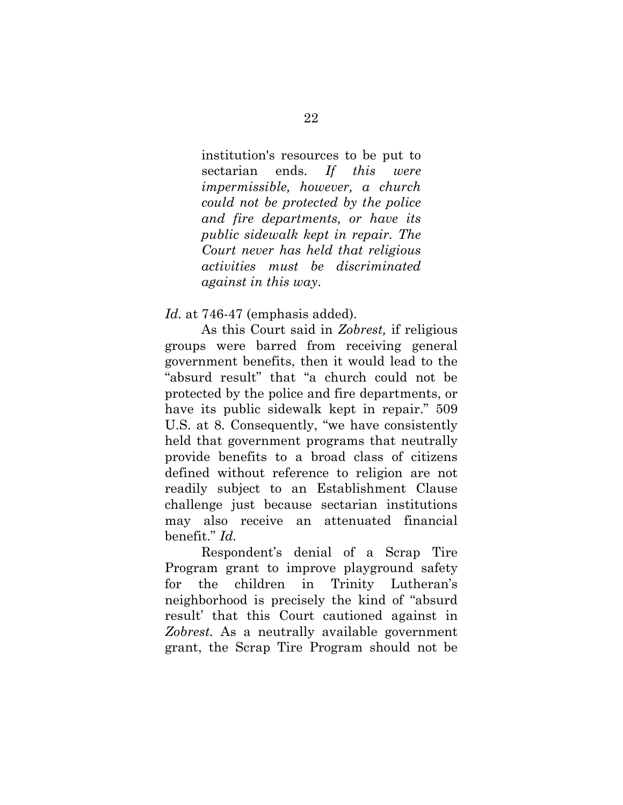institution's resources to be put to sectarian ends. *If this were impermissible, however, a church could not be protected by the police and fire departments, or have its public sidewalk kept in repair. The Court never has held that religious activities must be discriminated against in this way*.

*Id.* at 746-47 (emphasis added).

As this Court said in *Zobrest,* if religious groups were barred from receiving general government benefits, then it would lead to the "absurd result" that "a church could not be protected by the police and fire departments, or have its public sidewalk kept in repair." 509 U.S. at 8. Consequently, "we have consistently held that government programs that neutrally provide benefits to a broad class of citizens defined without reference to religion are not readily subject to an Establishment Clause challenge just because sectarian institutions may also receive an attenuated financial benefit." *Id.*

Respondent's denial of a Scrap Tire Program grant to improve playground safety for the children in Trinity Lutheran's neighborhood is precisely the kind of "absurd result' that this Court cautioned against in *Zobrest.* As a neutrally available government grant, the Scrap Tire Program should not be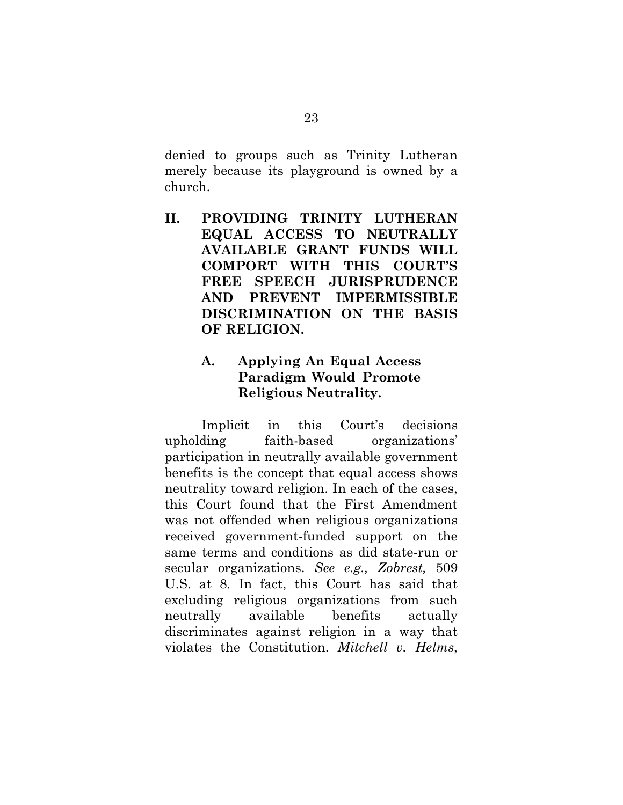denied to groups such as Trinity Lutheran merely because its playground is owned by a church.

**II. PROVIDING TRINITY LUTHERAN EQUAL ACCESS TO NEUTRALLY AVAILABLE GRANT FUNDS WILL COMPORT WITH THIS COURT'S FREE SPEECH JURISPRUDENCE AND PREVENT IMPERMISSIBLE DISCRIMINATION ON THE BASIS OF RELIGION.** 

## **A. Applying An Equal Access Paradigm Would Promote Religious Neutrality.**

Implicit in this Court's decisions upholding faith-based organizations' participation in neutrally available government benefits is the concept that equal access shows neutrality toward religion. In each of the cases, this Court found that the First Amendment was not offended when religious organizations received government-funded support on the same terms and conditions as did state-run or secular organizations. *See e.g., Zobrest,* 509 U.S. at 8. In fact, this Court has said that excluding religious organizations from such neutrally available benefits actually discriminates against religion in a way that violates the Constitution. *Mitchell v. Helms*,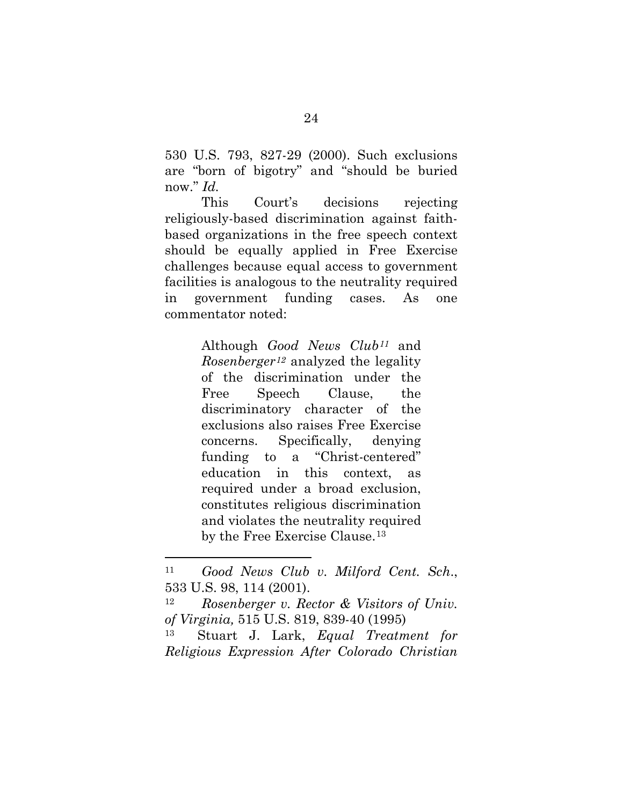530 U.S. 793, 827-29 (2000). Such exclusions are "born of bigotry" and "should be buried now." *Id.*

This Court's decisions rejecting religiously-based discrimination against faithbased organizations in the free speech context should be equally applied in Free Exercise challenges because equal access to government facilities is analogous to the neutrality required in government funding cases. As one commentator noted:

> Although *Good News Club[11](#page-30-0)* and *Rosenberger[12](#page-30-1)* analyzed the legality of the discrimination under the Free Speech Clause, the discriminatory character of the exclusions also raises Free Exercise concerns. Specifically, denying funding to a "Christ-centered" education in this context, as required under a broad exclusion, constitutes religious discrimination and violates the neutrality required by the Free Exercise Clause.<sup>[13](#page-30-2)</sup>

<span id="page-30-0"></span><sup>11</sup> *Good News Club v. Milford Cent. Sch*., 533 U.S. 98, 114 (2001).

<span id="page-30-1"></span><sup>12</sup> *Rosenberger v. Rector & Visitors of Univ. of Virginia,* 515 U.S. 819, 839-40 (1995)

<span id="page-30-2"></span><sup>13</sup> Stuart J. Lark, *Equal Treatment for Religious Expression After Colorado Christian*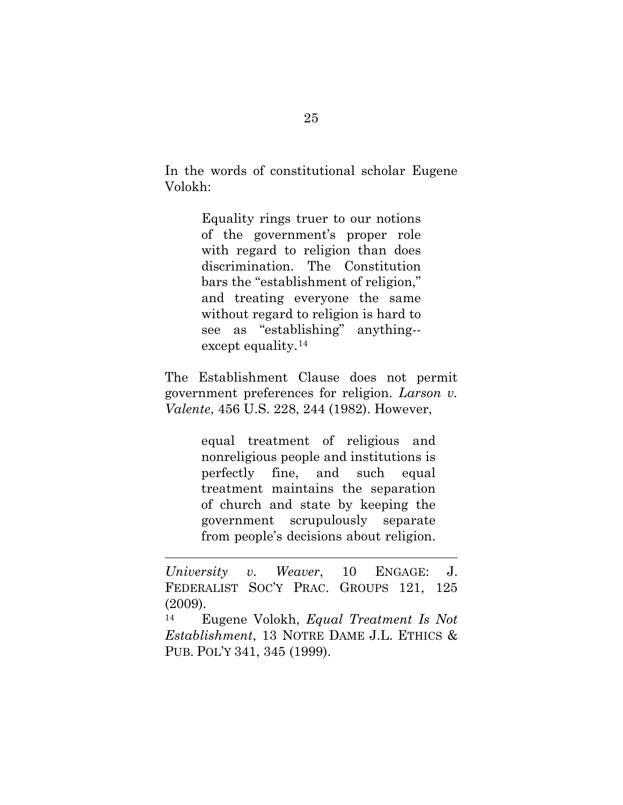In the words of constitutional scholar Eugene Volokh:

> Equality rings truer to our notions of the government's proper role with regard to religion than does discrimination. The Constitution bars the "establishment of religion," and treating everyone the same without regard to religion is hard to see as "establishing" anything- except equality.[14](#page-31-0)

The Establishment Clause does not permit government preferences for religion. *Larson v. Valente*, 456 U.S. 228, 244 (1982). However,

> equal treatment of religious and nonreligious people and institutions is perfectly fine, and such equal treatment maintains the separation of church and state by keeping the government scrupulously separate from people's decisions about religion.

 $\overline{\phantom{a}}$ 

<span id="page-31-0"></span><sup>14</sup> Eugene Volokh, *Equal Treatment Is Not Establishment*, 13 NOTRE DAME J.L. ETHICS & PUB. POL'Y 341, 345 (1999).

*University v. Weaver*, 10 ENGAGE: J. FEDERALIST SOC'Y PRAC. GROUPS 121, 125 (2009).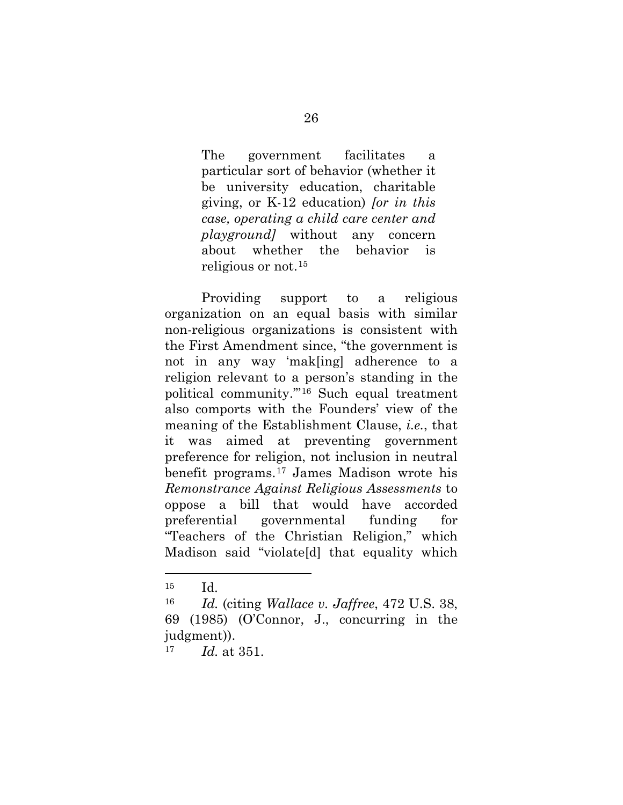The government facilitates a particular sort of behavior (whether it be university education, charitable giving, or K-12 education) *[or in this case, operating a child care center and playground]* without any concern about whether the behavior is religious or not.[15](#page-32-0)

Providing support to a religious organization on an equal basis with similar non-religious organizations is consistent with the First Amendment since, "the government is not in any way 'mak[ing] adherence to a religion relevant to a person's standing in the political community.'"[16](#page-32-1) Such equal treatment also comports with the Founders' view of the meaning of the Establishment Clause, *i.e.*, that it was aimed at preventing government preference for religion, not inclusion in neutral benefit programs.[17](#page-32-2) James Madison wrote his *Remonstrance Against Religious Assessments* to oppose a bill that would have accorded preferential governmental funding for "Teachers of the Christian Religion," which Madison said "violate[d] that equality which

<span id="page-32-0"></span><sup>15</sup> Id.

<span id="page-32-1"></span><sup>16</sup> *Id.* (citing *Wallace v. Jaffree*, 472 U.S. 38, 69 (1985) (O'Connor, J., concurring in the judgment)).

<span id="page-32-2"></span><sup>17</sup> *Id.* at 351.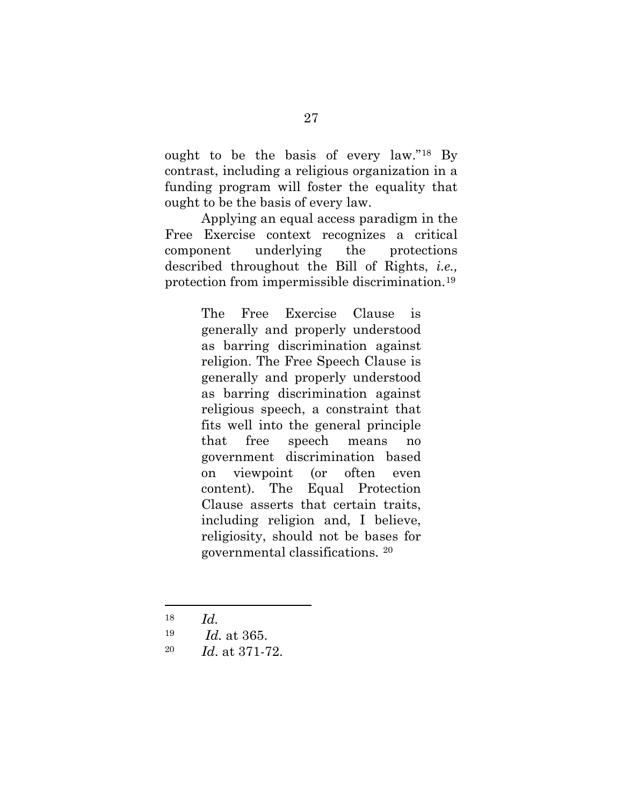ought to be the basis of every law."[18](#page-33-0) By contrast, including a religious organization in a funding program will foster the equality that ought to be the basis of every law.

Applying an equal access paradigm in the Free Exercise context recognizes a critical component underlying the protections described throughout the Bill of Rights, *i.e.,*  protection from impermissible discrimination.[19](#page-33-1)

> The Free Exercise Clause is generally and properly understood as barring discrimination against religion. The Free Speech Clause is generally and properly understood as barring discrimination against religious speech, a constraint that fits well into the general principle that free speech means no government discrimination based on viewpoint (or often even content). The Equal Protection Clause asserts that certain traits, including religion and, I believe, religiosity, should not be bases for governmental classifications. [20](#page-33-2)

<span id="page-33-0"></span><sup>18</sup> *Id.*

- <span id="page-33-1"></span><sup>19</sup> *Id.* at 365.
- <span id="page-33-2"></span>20 *Id*. at 371-72.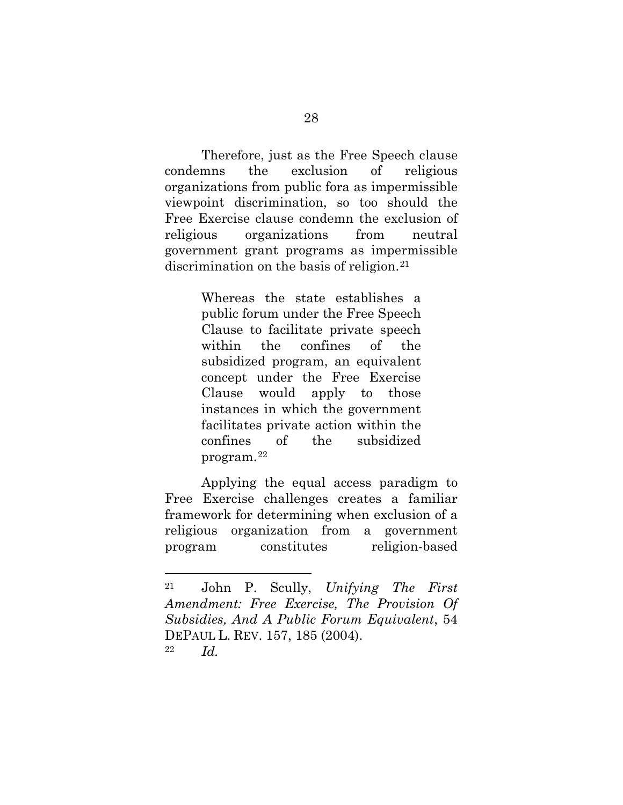Therefore, just as the Free Speech clause condemns the exclusion of religious organizations from public fora as impermissible viewpoint discrimination, so too should the Free Exercise clause condemn the exclusion of religious organizations from neutral government grant programs as impermissible discrimination on the basis of religion.<sup>[21](#page-34-0)</sup>

> Whereas the state establishes a public forum under the Free Speech Clause to facilitate private speech within the confines of the subsidized program, an equivalent concept under the Free Exercise Clause would apply to those instances in which the government facilitates private action within the confines of the subsidized program.[22](#page-34-1)

Applying the equal access paradigm to Free Exercise challenges creates a familiar framework for determining when exclusion of a religious organization from a government program constitutes religion-based

<span id="page-34-1"></span><span id="page-34-0"></span><sup>21</sup> John P. Scully, *Unifying The First Amendment: Free Exercise, The Provision Of Subsidies, And A Public Forum Equivalent*, 54 DEPAUL L. REV. 157, 185 (2004). <sup>22</sup> *Id.*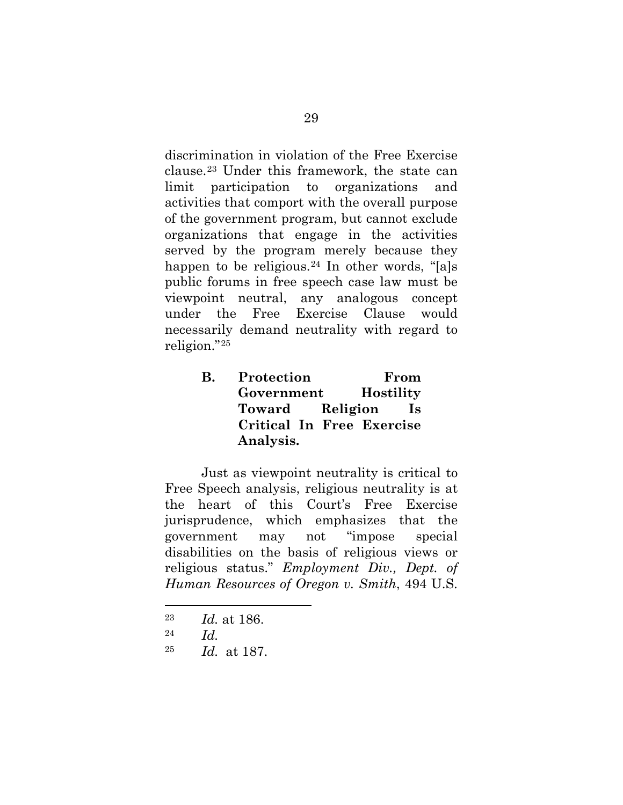discrimination in violation of the Free Exercise clause.[23](#page-35-0) Under this framework, the state can limit participation to organizations and activities that comport with the overall purpose of the government program, but cannot exclude organizations that engage in the activities served by the program merely because they happen to be religious.<sup>[24](#page-35-1)</sup> In other words, "[a]s public forums in free speech case law must be viewpoint neutral, any analogous concept under the Free Exercise Clause would necessarily demand neutrality with regard to religion."[25](#page-35-2)

> **B. Protection From Government Hostility Toward Religion Is Critical In Free Exercise Analysis.**

Just as viewpoint neutrality is critical to Free Speech analysis, religious neutrality is at the heart of this Court's Free Exercise jurisprudence, which emphasizes that the government may not "impose special disabilities on the basis of religious views or religious status." *Employment Div., Dept. of Human Resources of Oregon v. Smith*, 494 U.S.

- <span id="page-35-0"></span><sup>23</sup> *Id.* at 186.
- <span id="page-35-1"></span><sup>24</sup> *Id.*

 $\overline{\phantom{a}}$ 

<span id="page-35-2"></span><sup>25</sup> *Id.* at 187.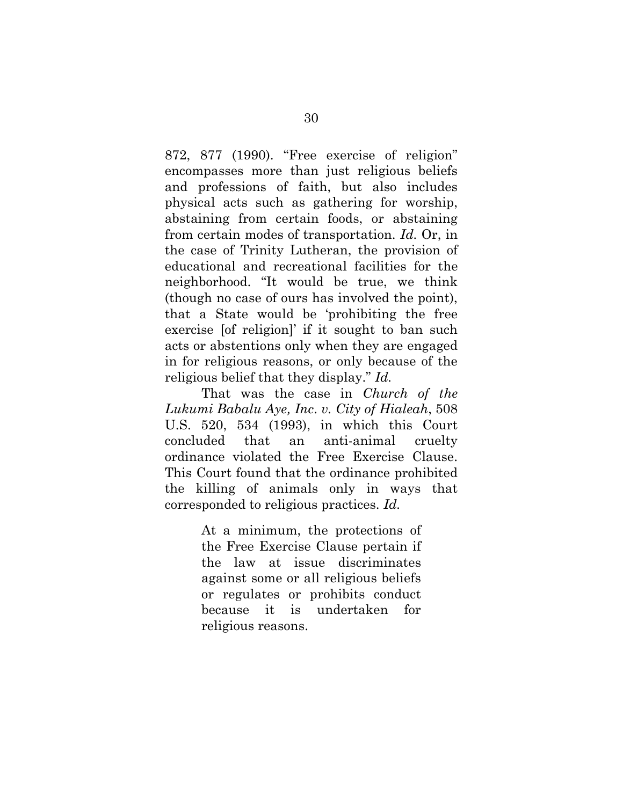872, 877 (1990). "Free exercise of religion" encompasses more than just religious beliefs and professions of faith, but also includes physical acts such as gathering for worship, abstaining from certain foods, or abstaining from certain modes of transportation. *Id.* Or, in the case of Trinity Lutheran, the provision of educational and recreational facilities for the neighborhood. "It would be true, we think (though no case of ours has involved the point), that a State would be 'prohibiting the free exercise [of religion]' if it sought to ban such acts or abstentions only when they are engaged in for religious reasons, or only because of the religious belief that they display." *Id.*

That was the case in *Church of the Lukumi Babalu Aye, Inc*. *v. City of Hialeah*, 508 U.S. 520, 534 (1993), in which this Court concluded that an anti-animal cruelty ordinance violated the Free Exercise Clause. This Court found that the ordinance prohibited the killing of animals only in ways that corresponded to religious practices. *Id.* 

> At a minimum, the protections of the Free Exercise Clause pertain if the law at issue discriminates against some or all religious beliefs or regulates or prohibits conduct because it is undertaken for religious reasons.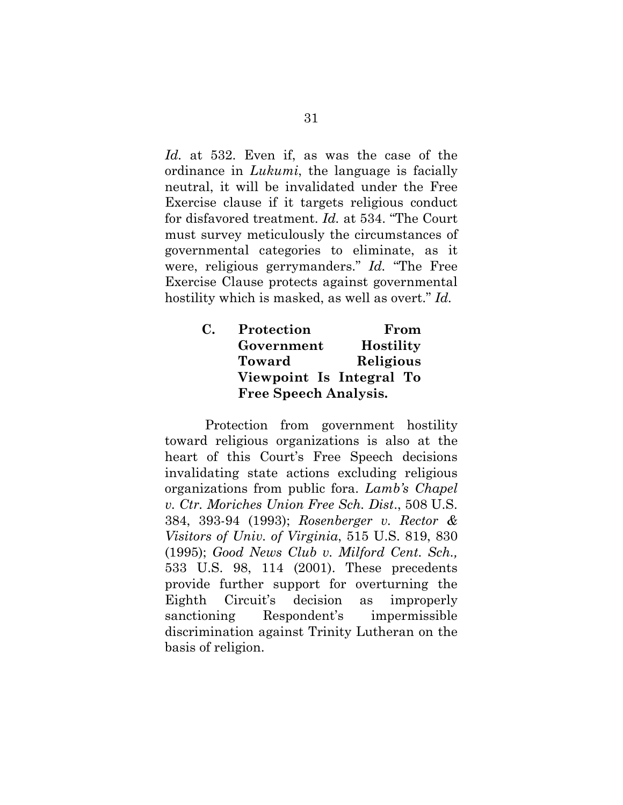*Id.* at 532. Even if, as was the case of the ordinance in *Lukumi*, the language is facially neutral, it will be invalidated under the Free Exercise clause if it targets religious conduct for disfavored treatment. *Id.* at 534. "The Court must survey meticulously the circumstances of governmental categories to eliminate, as it were, religious gerrymanders." *Id.* "The Free Exercise Clause protects against governmental hostility which is masked, as well as overt." *Id.*

| C. | Protection                   | From             |
|----|------------------------------|------------------|
|    | Government                   | <b>Hostility</b> |
|    | <b>Toward</b>                | Religious        |
|    | Viewpoint Is Integral To     |                  |
|    | <b>Free Speech Analysis.</b> |                  |

Protection from government hostility toward religious organizations is also at the heart of this Court's Free Speech decisions invalidating state actions excluding religious organizations from public fora. *Lamb's Chapel v. Ctr. Moriches Union Free Sch. Dist*., 508 U.S. 384, 393-94 (1993); *Rosenberger v. Rector & Visitors of Univ. of Virginia*, 515 U.S. 819, 830 (1995); *Good News Club v. Milford Cent. Sch.,* 533 U.S. 98, 114 (2001). These precedents provide further support for overturning the Eighth Circuit's decision as improperly sanctioning Respondent's impermissible discrimination against Trinity Lutheran on the basis of religion.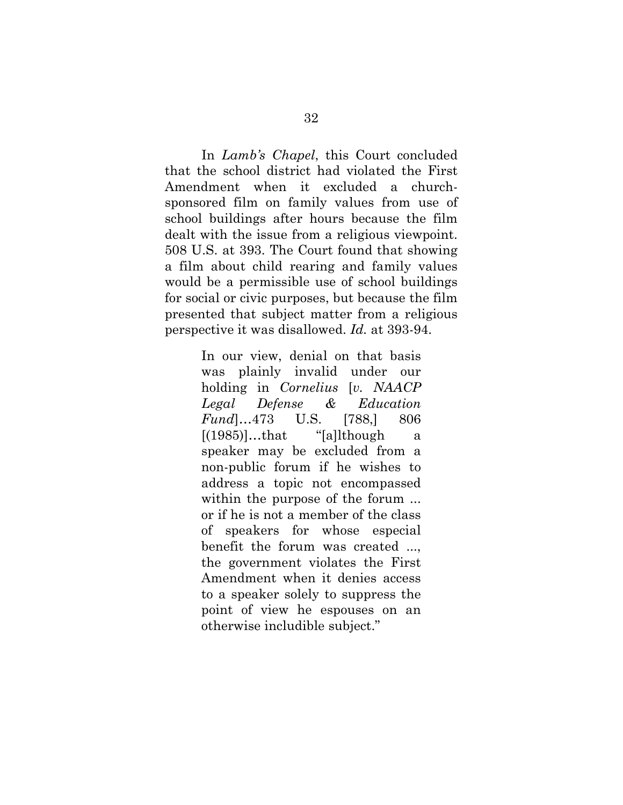In *Lamb's Chapel*, this Court concluded that the school district had violated the First Amendment when it excluded a churchsponsored film on family values from use of school buildings after hours because the film dealt with the issue from a religious viewpoint. 508 U.S. at 393. The Court found that showing a film about child rearing and family values would be a permissible use of school buildings for social or civic purposes, but because the film presented that subject matter from a religious perspective it was disallowed. *Id.* at 393-94.

> In our view, denial on that basis was plainly invalid under our holding in *Cornelius* [*v. NAACP Legal Defense & Education Fund*]…473 U.S. [788,] 806  $[(1985)]...$ that "[a]lthough a speaker may be excluded from a non-public forum if he wishes to address a topic not encompassed within the purpose of the forum ... or if he is not a member of the class of speakers for whose especial benefit the forum was created ..., the government violates the First Amendment when it denies access to a speaker solely to suppress the point of view he espouses on an otherwise includible subject."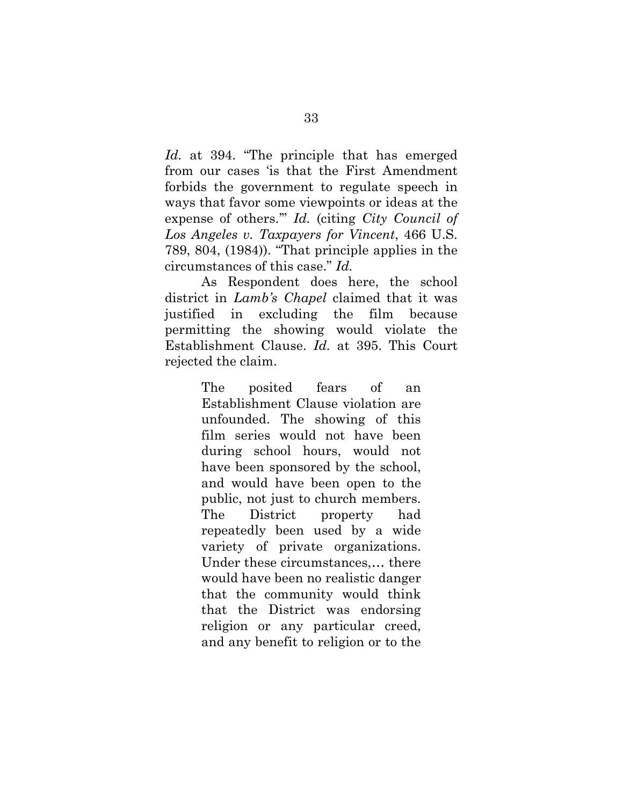*Id.* at 394. "The principle that has emerged from our cases 'is that the First Amendment forbids the government to regulate speech in ways that favor some viewpoints or ideas at the expense of others.'" *Id.* (citing *City Council of Los Angeles v. Taxpayers for Vincent*, 466 U.S. 789, 804, (1984)). "That principle applies in the circumstances of this case." *Id.* 

As Respondent does here, the school district in *Lamb's Chapel* claimed that it was justified in excluding the film because permitting the showing would violate the Establishment Clause. *Id.* at 395. This Court rejected the claim.

> The posited fears of an Establishment Clause violation are unfounded. The showing of this film series would not have been during school hours, would not have been sponsored by the school, and would have been open to the public, not just to church members. The District property had repeatedly been used by a wide variety of private organizations. Under these circumstances,… there would have been no realistic danger that the community would think that the District was endorsing religion or any particular creed, and any benefit to religion or to the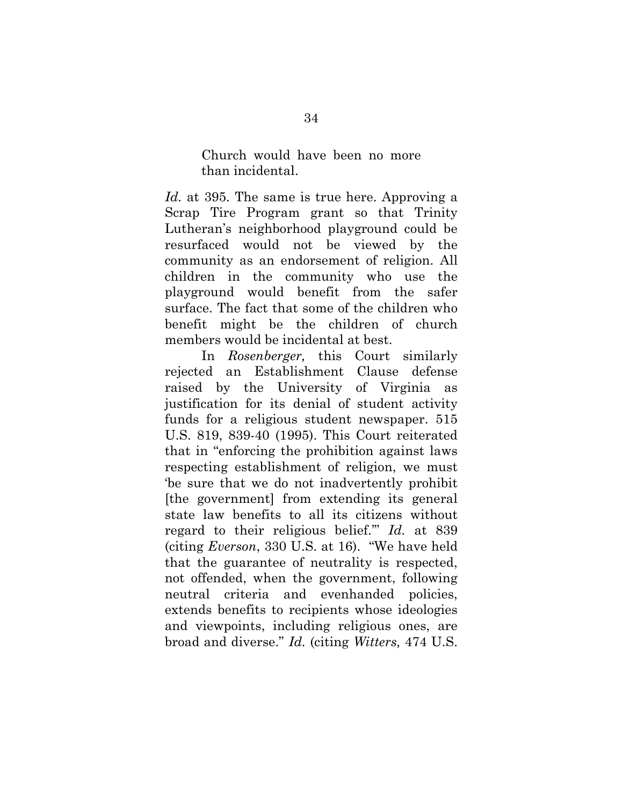Church would have been no more than incidental.

*Id.* at 395. The same is true here. Approving a Scrap Tire Program grant so that Trinity Lutheran's neighborhood playground could be resurfaced would not be viewed by the community as an endorsement of religion. All children in the community who use the playground would benefit from the safer surface. The fact that some of the children who benefit might be the children of church members would be incidental at best.

In *Rosenberger,* this Court similarly rejected an Establishment Clause defense raised by the University of Virginia as justification for its denial of student activity funds for a religious student newspaper. 515 U.S. 819, 839-40 (1995). This Court reiterated that in "enforcing the prohibition against laws respecting establishment of religion, we must 'be sure that we do not inadvertently prohibit [the government] from extending its general state law benefits to all its citizens without regard to their religious belief.'" *Id.* at 839 (citing *Everson*, 330 U.S. at 16). "We have held that the guarantee of neutrality is respected, not offended, when the government, following neutral criteria and evenhanded policies, extends benefits to recipients whose ideologies and viewpoints, including religious ones, are broad and diverse." *Id.* (citing *Witters,* 474 U.S.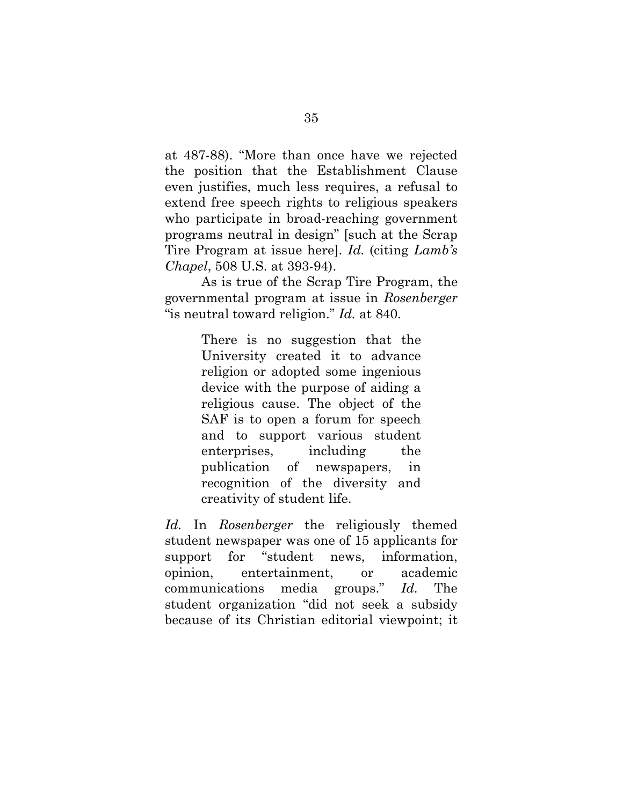at 487-88). "More than once have we rejected the position that the Establishment Clause even justifies, much less requires, a refusal to extend free speech rights to religious speakers who participate in broad-reaching government programs neutral in design" [such at the Scrap Tire Program at issue here]. *Id.* (citing *Lamb's Chapel*, 508 U.S. at 393-94).

As is true of the Scrap Tire Program, the governmental program at issue in *Rosenberger*  "is neutral toward religion." *Id.* at 840.

> There is no suggestion that the University created it to advance religion or adopted some ingenious device with the purpose of aiding a religious cause. The object of the SAF is to open a forum for speech and to support various student enterprises, including the publication of newspapers, in recognition of the diversity and creativity of student life.

*Id.* In *Rosenberger* the religiously themed student newspaper was one of 15 applicants for support for "student news, information, opinion, entertainment, or academic communications media groups." *Id.* The student organization "did not seek a subsidy because of its Christian editorial viewpoint; it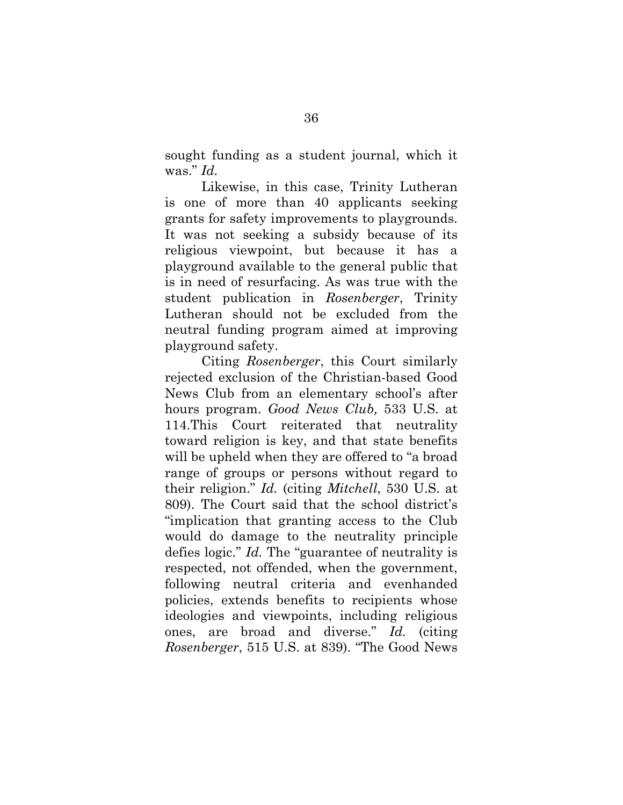sought funding as a student journal, which it was." *Id.*

Likewise, in this case, Trinity Lutheran is one of more than 40 applicants seeking grants for safety improvements to playgrounds. It was not seeking a subsidy because of its religious viewpoint, but because it has a playground available to the general public that is in need of resurfacing. As was true with the student publication in *Rosenberger*, Trinity Lutheran should not be excluded from the neutral funding program aimed at improving playground safety.

Citing *Rosenberger*, this Court similarly rejected exclusion of the Christian-based Good News Club from an elementary school's after hours program. *Good News Club,* 533 U.S. at 114.This Court reiterated that neutrality toward religion is key, and that state benefits will be upheld when they are offered to "a broad range of groups or persons without regard to their religion." *Id.* (citing *Mitchell*, 530 U.S. at 809). The Court said that the school district's "implication that granting access to the Club would do damage to the neutrality principle defies logic." *Id.* The "guarantee of neutrality is respected, not offended, when the government, following neutral criteria and evenhanded policies, extends benefits to recipients whose ideologies and viewpoints, including religious ones, are broad and diverse." *Id.* (citing *Rosenberger*, 515 U.S. at 839). "The Good News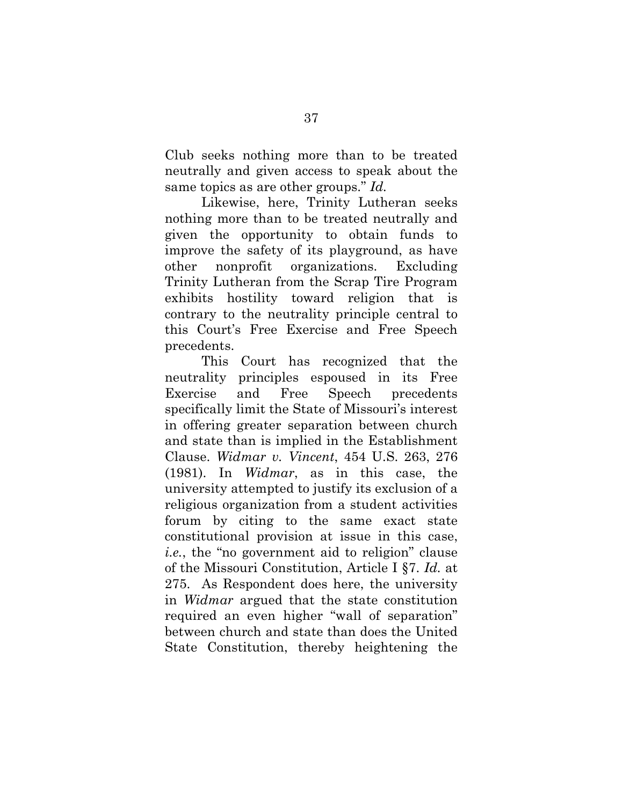Club seeks nothing more than to be treated neutrally and given access to speak about the same topics as are other groups." *Id.*

Likewise, here, Trinity Lutheran seeks nothing more than to be treated neutrally and given the opportunity to obtain funds to improve the safety of its playground, as have other nonprofit organizations. Excluding Trinity Lutheran from the Scrap Tire Program exhibits hostility toward religion that is contrary to the neutrality principle central to this Court's Free Exercise and Free Speech precedents.

This Court has recognized that the neutrality principles espoused in its Free Exercise and Free Speech precedents specifically limit the State of Missouri's interest in offering greater separation between church and state than is implied in the Establishment Clause. *Widmar v. Vincent*, 454 U.S. 263, 276 (1981). In *Widmar*, as in this case, the university attempted to justify its exclusion of a religious organization from a student activities forum by citing to the same exact state constitutional provision at issue in this case, *i.e.*, the "no government aid to religion" clause of the Missouri Constitution, Article I §7. *Id.* at 275.As Respondent does here, the university in *Widmar* argued that the state constitution required an even higher "wall of separation" between church and state than does the United State Constitution, thereby heightening the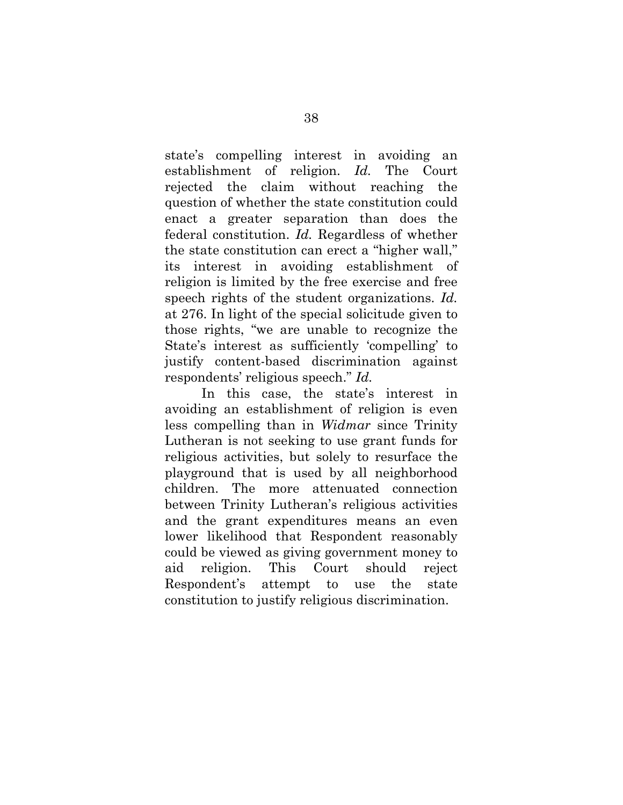state's compelling interest in avoiding an establishment of religion. *Id.* The Court rejected the claim without reaching the question of whether the state constitution could enact a greater separation than does the federal constitution. *Id.* Regardless of whether the state constitution can erect a "higher wall," its interest in avoiding establishment of religion is limited by the free exercise and free speech rights of the student organizations. *Id.* at 276. In light of the special solicitude given to those rights, "we are unable to recognize the State's interest as sufficiently 'compelling' to justify content-based discrimination against respondents' religious speech." *Id.*

In this case, the state's interest in avoiding an establishment of religion is even less compelling than in *Widmar* since Trinity Lutheran is not seeking to use grant funds for religious activities, but solely to resurface the playground that is used by all neighborhood children. The more attenuated connection between Trinity Lutheran's religious activities and the grant expenditures means an even lower likelihood that Respondent reasonably could be viewed as giving government money to aid religion. This Court should reject Respondent's attempt to use the state constitution to justify religious discrimination.